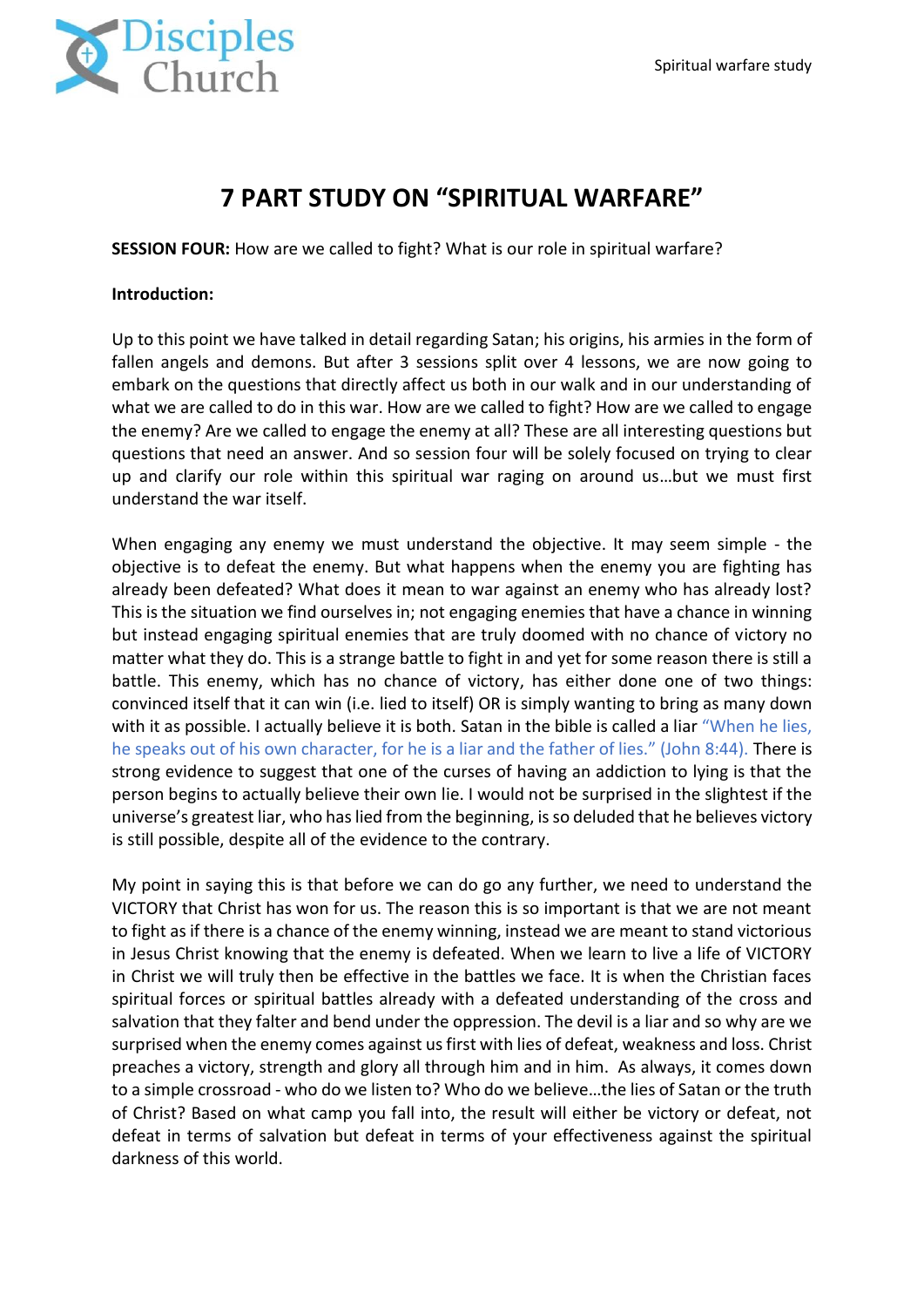

# **7 PART STUDY ON "SPIRITUAL WARFARE"**

**SESSION FOUR:** How are we called to fight? What is our role in spiritual warfare?

#### **Introduction:**

Up to this point we have talked in detail regarding Satan; his origins, his armies in the form of fallen angels and demons. But after 3 sessions split over 4 lessons, we are now going to embark on the questions that directly affect us both in our walk and in our understanding of what we are called to do in this war. How are we called to fight? How are we called to engage the enemy? Are we called to engage the enemy at all? These are all interesting questions but questions that need an answer. And so session four will be solely focused on trying to clear up and clarify our role within this spiritual war raging on around us…but we must first understand the war itself.

When engaging any enemy we must understand the objective. It may seem simple - the objective is to defeat the enemy. But what happens when the enemy you are fighting has already been defeated? What does it mean to war against an enemy who has already lost? This is the situation we find ourselves in; not engaging enemies that have a chance in winning but instead engaging spiritual enemies that are truly doomed with no chance of victory no matter what they do. This is a strange battle to fight in and yet for some reason there is still a battle. This enemy, which has no chance of victory, has either done one of two things: convinced itself that it can win (i.e. lied to itself) OR is simply wanting to bring as many down with it as possible. I actually believe it is both. Satan in the bible is called a liar "When he lies, he speaks out of his own character, for he is a liar and the father of lies." (John 8:44). There is strong evidence to suggest that one of the curses of having an addiction to lying is that the person begins to actually believe their own lie. I would not be surprised in the slightest if the universe's greatest liar, who has lied from the beginning, is so deluded that he believes victory is still possible, despite all of the evidence to the contrary.

My point in saying this is that before we can do go any further, we need to understand the VICTORY that Christ has won for us. The reason this is so important is that we are not meant to fight as if there is a chance of the enemy winning, instead we are meant to stand victorious in Jesus Christ knowing that the enemy is defeated. When we learn to live a life of VICTORY in Christ we will truly then be effective in the battles we face. It is when the Christian faces spiritual forces or spiritual battles already with a defeated understanding of the cross and salvation that they falter and bend under the oppression. The devil is a liar and so why are we surprised when the enemy comes against us first with lies of defeat, weakness and loss. Christ preaches a victory, strength and glory all through him and in him. As always, it comes down to a simple crossroad - who do we listen to? Who do we believe…the lies of Satan or the truth of Christ? Based on what camp you fall into, the result will either be victory or defeat, not defeat in terms of salvation but defeat in terms of your effectiveness against the spiritual darkness of this world.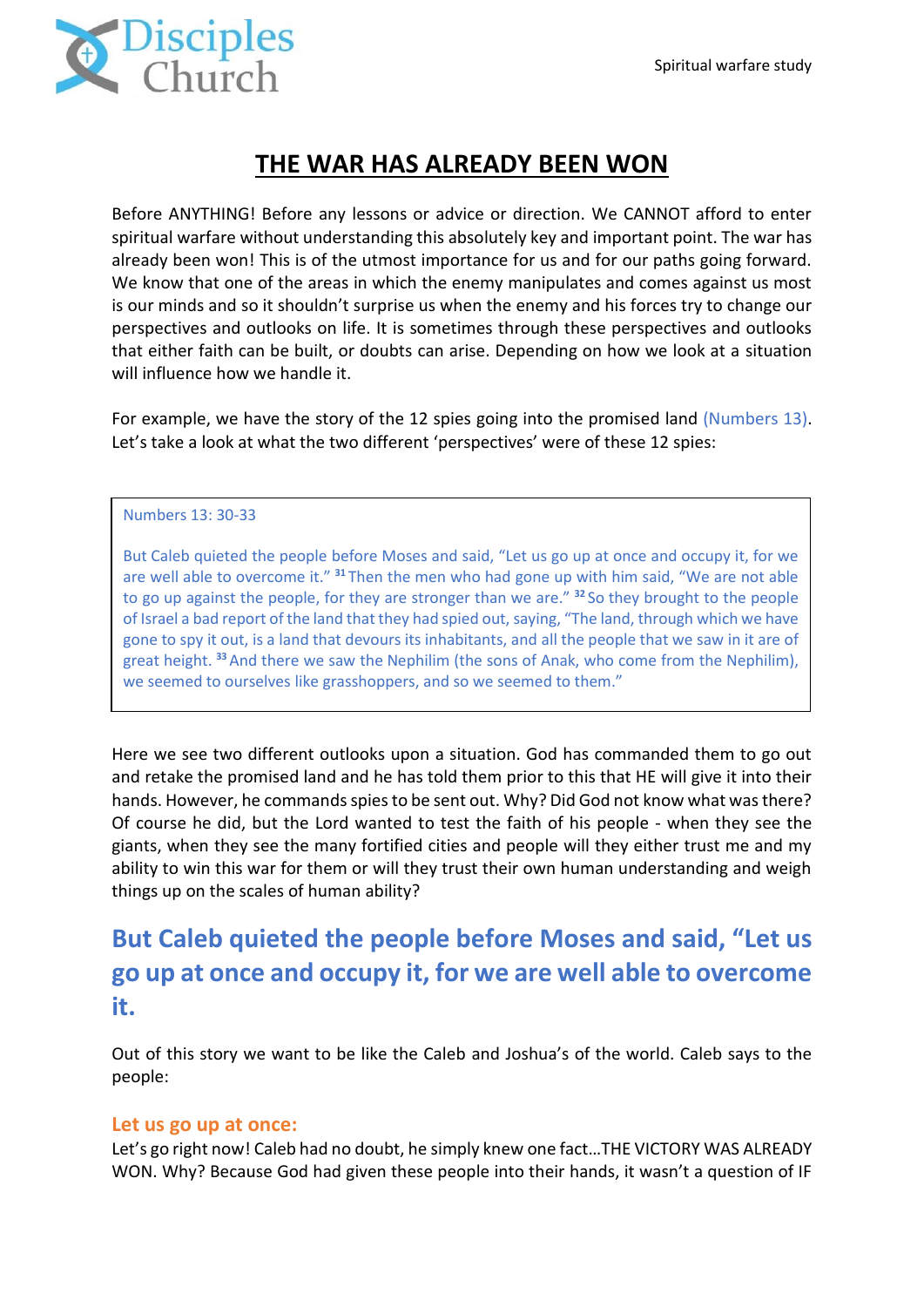

## **THE WAR HAS ALREADY BEEN WON**

Before ANYTHING! Before any lessons or advice or direction. We CANNOT afford to enter spiritual warfare without understanding this absolutely key and important point. The war has already been won! This is of the utmost importance for us and for our paths going forward. We know that one of the areas in which the enemy manipulates and comes against us most is our minds and so it shouldn't surprise us when the enemy and his forces try to change our perspectives and outlooks on life. It is sometimes through these perspectives and outlooks that either faith can be built, or doubts can arise. Depending on how we look at a situation will influence how we handle it.

For example, we have the story of the 12 spies going into the promised land (Numbers 13). Let's take a look at what the two different 'perspectives' were of these 12 spies:

#### Numbers 13: 30-33

But Caleb quieted the people before Moses and said, "Let us go up at once and occupy it, for we are well able to overcome it." **<sup>31</sup>** Then the men who had gone up with him said, "We are not able to go up against the people, for they are stronger than we are." **<sup>32</sup>** So they brought to the people of Israel a bad report of the land that they had spied out, saying, "The land, through which we have gone to spy it out, is a land that devours its inhabitants, and all the people that we saw in it are of great height. **<sup>33</sup>**And there we saw the Nephilim (the sons of Anak, who come from the Nephilim), we seemed to ourselves like grasshoppers, and so we seemed to them."

Here we see two different outlooks upon a situation. God has commanded them to go out and retake the promised land and he has told them prior to this that HE will give it into their hands. However, he commands spies to be sent out. Why? Did God not know what was there? Of course he did, but the Lord wanted to test the faith of his people - when they see the giants, when they see the many fortified cities and people will they either trust me and my ability to win this war for them or will they trust their own human understanding and weigh things up on the scales of human ability?

# **But Caleb quieted the people before Moses and said, "Let us go up at once and occupy it, for we are well able to overcome it.**

Out of this story we want to be like the Caleb and Joshua's of the world. Caleb says to the people:

#### **Let us go up at once:**

Let's go right now! Caleb had no doubt, he simply knew one fact…THE VICTORY WAS ALREADY WON. Why? Because God had given these people into their hands, it wasn't a question of IF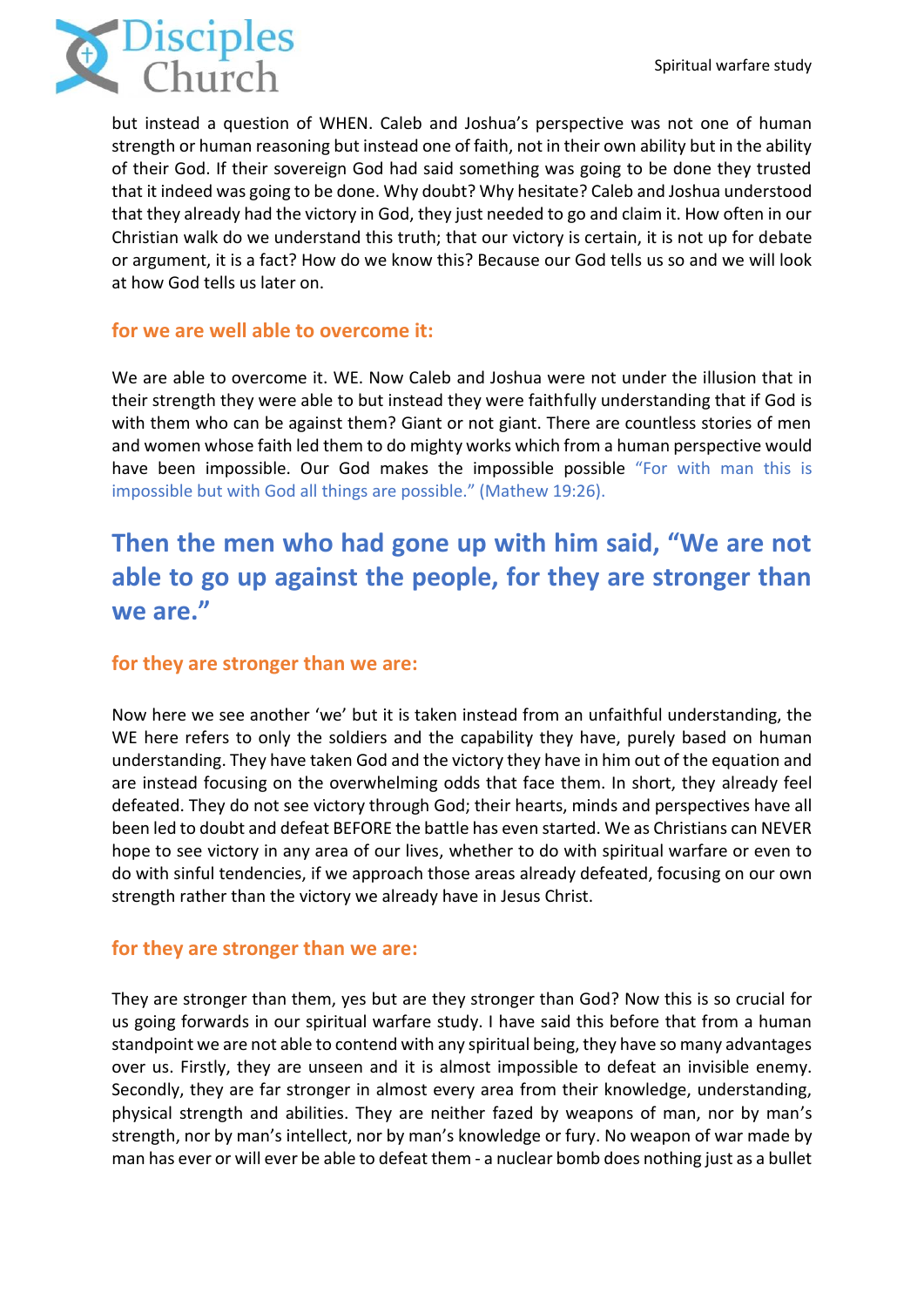

but instead a question of WHEN. Caleb and Joshua's perspective was not one of human strength or human reasoning but instead one of faith, not in their own ability but in the ability of their God. If their sovereign God had said something was going to be done they trusted that it indeed was going to be done. Why doubt? Why hesitate? Caleb and Joshua understood that they already had the victory in God, they just needed to go and claim it. How often in our Christian walk do we understand this truth; that our victory is certain, it is not up for debate or argument, it is a fact? How do we know this? Because our God tells us so and we will look at how God tells us later on.

### **for we are well able to overcome it:**

We are able to overcome it. WE. Now Caleb and Joshua were not under the illusion that in their strength they were able to but instead they were faithfully understanding that if God is with them who can be against them? Giant or not giant. There are countless stories of men and women whose faith led them to do mighty works which from a human perspective would have been impossible. Our God makes the impossible possible "For with man this is impossible but with God all things are possible." (Mathew 19:26).

# **Then the men who had gone up with him said, "We are not able to go up against the people, for they are stronger than we are."**

### **for they are stronger than we are:**

Now here we see another 'we' but it is taken instead from an unfaithful understanding, the WE here refers to only the soldiers and the capability they have, purely based on human understanding. They have taken God and the victory they have in him out of the equation and are instead focusing on the overwhelming odds that face them. In short, they already feel defeated. They do not see victory through God; their hearts, minds and perspectives have all been led to doubt and defeat BEFORE the battle has even started. We as Christians can NEVER hope to see victory in any area of our lives, whether to do with spiritual warfare or even to do with sinful tendencies, if we approach those areas already defeated, focusing on our own strength rather than the victory we already have in Jesus Christ.

### **for they are stronger than we are:**

They are stronger than them, yes but are they stronger than God? Now this is so crucial for us going forwards in our spiritual warfare study. I have said this before that from a human standpoint we are not able to contend with any spiritual being, they have so many advantages over us. Firstly, they are unseen and it is almost impossible to defeat an invisible enemy. Secondly, they are far stronger in almost every area from their knowledge, understanding, physical strength and abilities. They are neither fazed by weapons of man, nor by man's strength, nor by man's intellect, nor by man's knowledge or fury. No weapon of war made by man has ever or will ever be able to defeat them - a nuclear bomb does nothing just as a bullet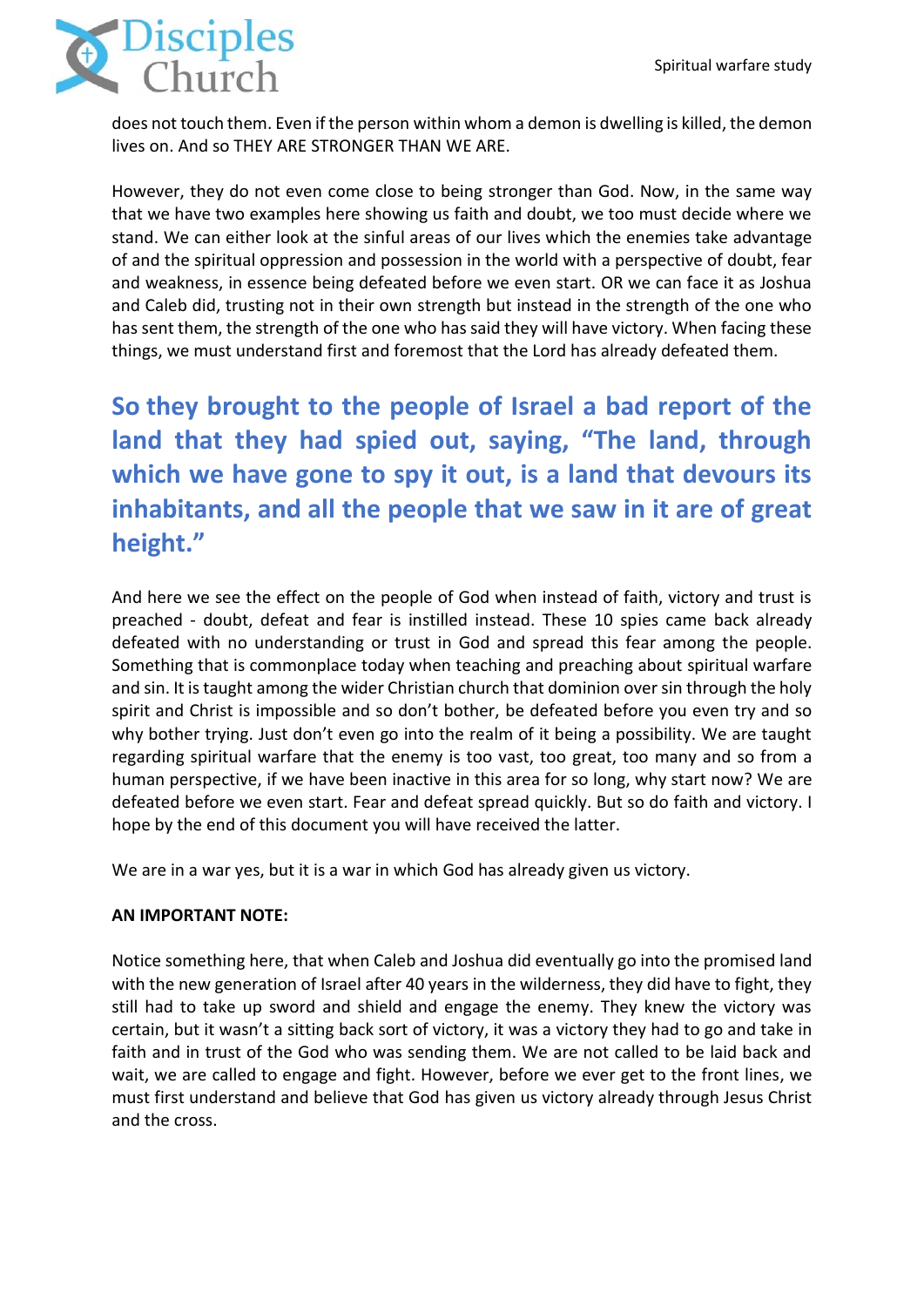

does not touch them. Even if the person within whom a demon is dwelling is killed, the demon lives on. And so THEY ARE STRONGER THAN WE ARE.

However, they do not even come close to being stronger than God. Now, in the same way that we have two examples here showing us faith and doubt, we too must decide where we stand. We can either look at the sinful areas of our lives which the enemies take advantage of and the spiritual oppression and possession in the world with a perspective of doubt, fear and weakness, in essence being defeated before we even start. OR we can face it as Joshua and Caleb did, trusting not in their own strength but instead in the strength of the one who has sent them, the strength of the one who has said they will have victory. When facing these things, we must understand first and foremost that the Lord has already defeated them.

**So they brought to the people of Israel a bad report of the land that they had spied out, saying, "The land, through which we have gone to spy it out, is a land that devours its inhabitants, and all the people that we saw in it are of great height."**

And here we see the effect on the people of God when instead of faith, victory and trust is preached - doubt, defeat and fear is instilled instead. These 10 spies came back already defeated with no understanding or trust in God and spread this fear among the people. Something that is commonplace today when teaching and preaching about spiritual warfare and sin. It is taught among the wider Christian church that dominion over sin through the holy spirit and Christ is impossible and so don't bother, be defeated before you even try and so why bother trying. Just don't even go into the realm of it being a possibility. We are taught regarding spiritual warfare that the enemy is too vast, too great, too many and so from a human perspective, if we have been inactive in this area for so long, why start now? We are defeated before we even start. Fear and defeat spread quickly. But so do faith and victory. I hope by the end of this document you will have received the latter.

We are in a war yes, but it is a war in which God has already given us victory.

#### **AN IMPORTANT NOTE:**

Notice something here, that when Caleb and Joshua did eventually go into the promised land with the new generation of Israel after 40 years in the wilderness, they did have to fight, they still had to take up sword and shield and engage the enemy. They knew the victory was certain, but it wasn't a sitting back sort of victory, it was a victory they had to go and take in faith and in trust of the God who was sending them. We are not called to be laid back and wait, we are called to engage and fight. However, before we ever get to the front lines, we must first understand and believe that God has given us victory already through Jesus Christ and the cross.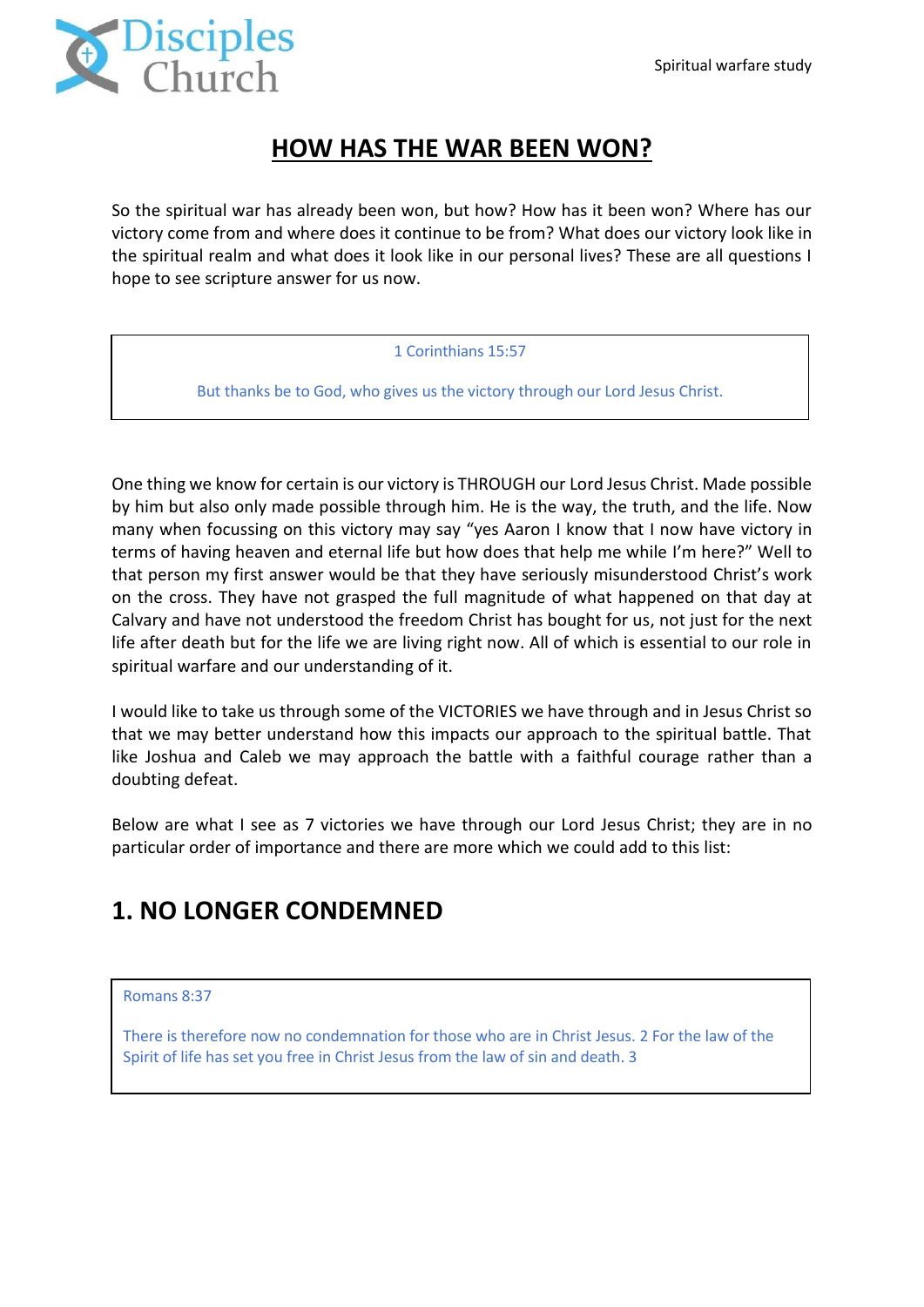

# **HOW HAS THE WAR BEEN WON?**

So the spiritual war has already been won, but how? How has it been won? Where has our victory come from and where does it continue to be from? What does our victory look like in the spiritual realm and what does it look like in our personal lives? These are all questions I hope to see scripture answer for us now.

#### 1 Corinthians 15:57

But thanks be to God, who gives us the victory through our Lord Jesus Christ.

One thing we know for certain is our victory is THROUGH our Lord Jesus Christ. Made possible by him but also only made possible through him. He is the way, the truth, and the life. Now many when focussing on this victory may say "yes Aaron I know that I now have victory in terms of having heaven and eternal life but how does that help me while I'm here?" Well to that person my first answer would be that they have seriously misunderstood Christ's work on the cross. They have not grasped the full magnitude of what happened on that day at Calvary and have not understood the freedom Christ has bought for us, not just for the next life after death but for the life we are living right now. All of which is essential to our role in spiritual warfare and our understanding of it.

I would like to take us through some of the VICTORIES we have through and in Jesus Christ so that we may better understand how this impacts our approach to the spiritual battle. That like Joshua and Caleb we may approach the battle with a faithful courage rather than a doubting defeat.

Below are what I see as 7 victories we have through our Lord Jesus Christ; they are in no particular order of importance and there are more which we could add to this list:

# **1. NO LONGER CONDEMNED**

#### Romans 8:37

There is therefore now no condemnation for those who are in Christ Jesus. 2 For the law of the Spirit of life has set you free in Christ Jesus from the law of sin and death. 3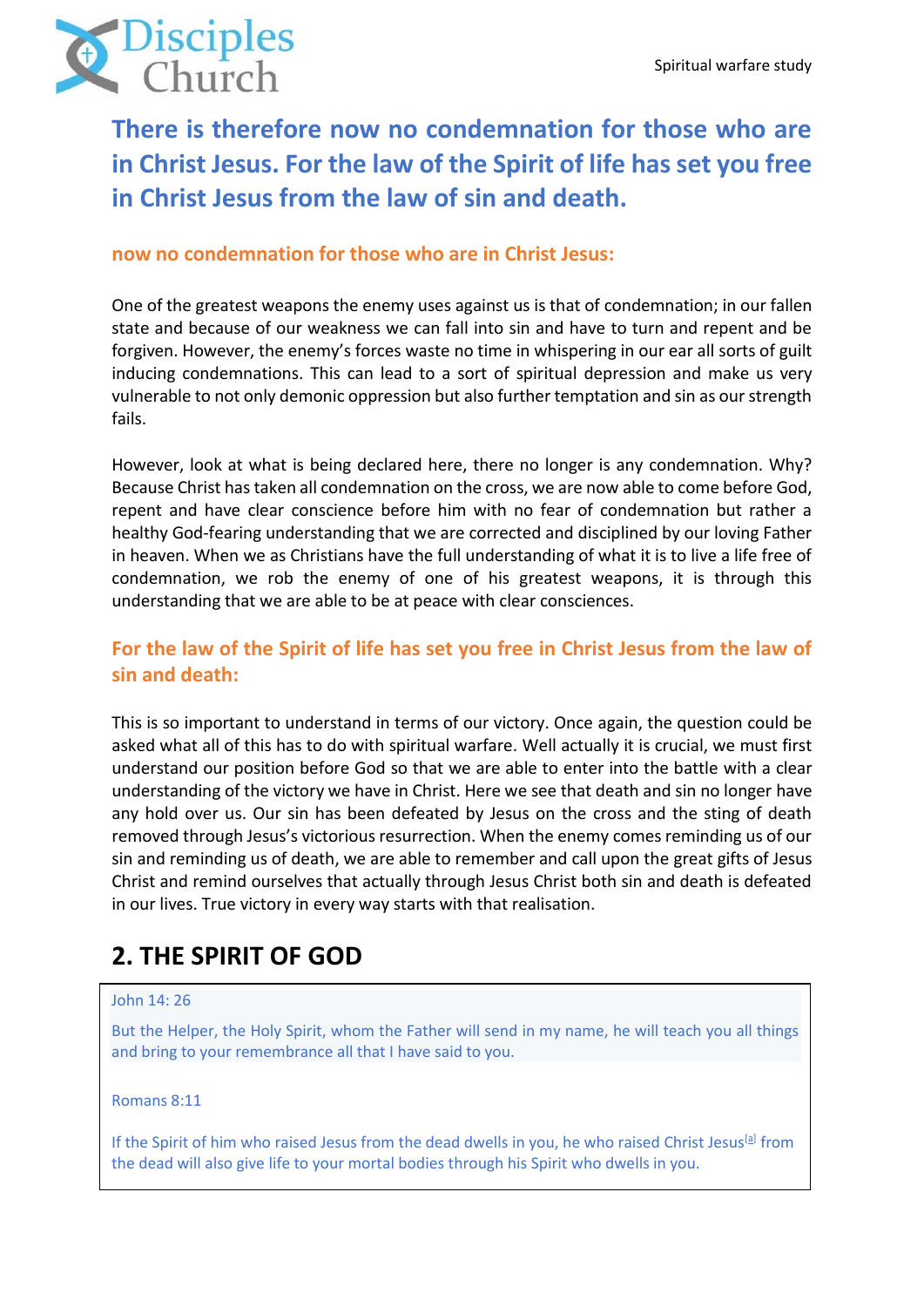

**There is therefore now no condemnation for those who are in Christ Jesus. For the law of the Spirit of life has set you free in Christ Jesus from the law of sin and death.**

### **now no condemnation for those who are in Christ Jesus:**

One of the greatest weapons the enemy uses against us is that of condemnation; in our fallen state and because of our weakness we can fall into sin and have to turn and repent and be forgiven. However, the enemy's forces waste no time in whispering in our ear all sorts of guilt inducing condemnations. This can lead to a sort of spiritual depression and make us very vulnerable to not only demonic oppression but also further temptation and sin as our strength fails.

However, look at what is being declared here, there no longer is any condemnation. Why? Because Christ has taken all condemnation on the cross, we are now able to come before God, repent and have clear conscience before him with no fear of condemnation but rather a healthy God-fearing understanding that we are corrected and disciplined by our loving Father in heaven. When we as Christians have the full understanding of what it is to live a life free of condemnation, we rob the enemy of one of his greatest weapons, it is through this understanding that we are able to be at peace with clear consciences.

## **For the law of the Spirit of life has set you free in Christ Jesus from the law of sin and death:**

This is so important to understand in terms of our victory. Once again, the question could be asked what all of this has to do with spiritual warfare. Well actually it is crucial, we must first understand our position before God so that we are able to enter into the battle with a clear understanding of the victory we have in Christ. Here we see that death and sin no longer have any hold over us. Our sin has been defeated by Jesus on the cross and the sting of death removed through Jesus's victorious resurrection. When the enemy comes reminding us of our sin and reminding us of death, we are able to remember and call upon the great gifts of Jesus Christ and remind ourselves that actually through Jesus Christ both sin and death is defeated in our lives. True victory in every way starts with that realisation.

# **2. THE SPIRIT OF GOD**

#### John 14: 26

But the Helper, the Holy Spirit, whom the Father will send in my name, he will teach you all things and bring to your remembrance all that I have said to you.

Romans 8:11

If the Spirit of him who raised Jesus from the dead dwells in you, he who raised Christ Jesus<sup>[\[a\]](https://www.biblegateway.com/passage/?search=Romans%208%3A11&version=ESV#fen-ESV-28112a)</sup> from the dead will also give life to your mortal bodies through his Spirit who dwells in you.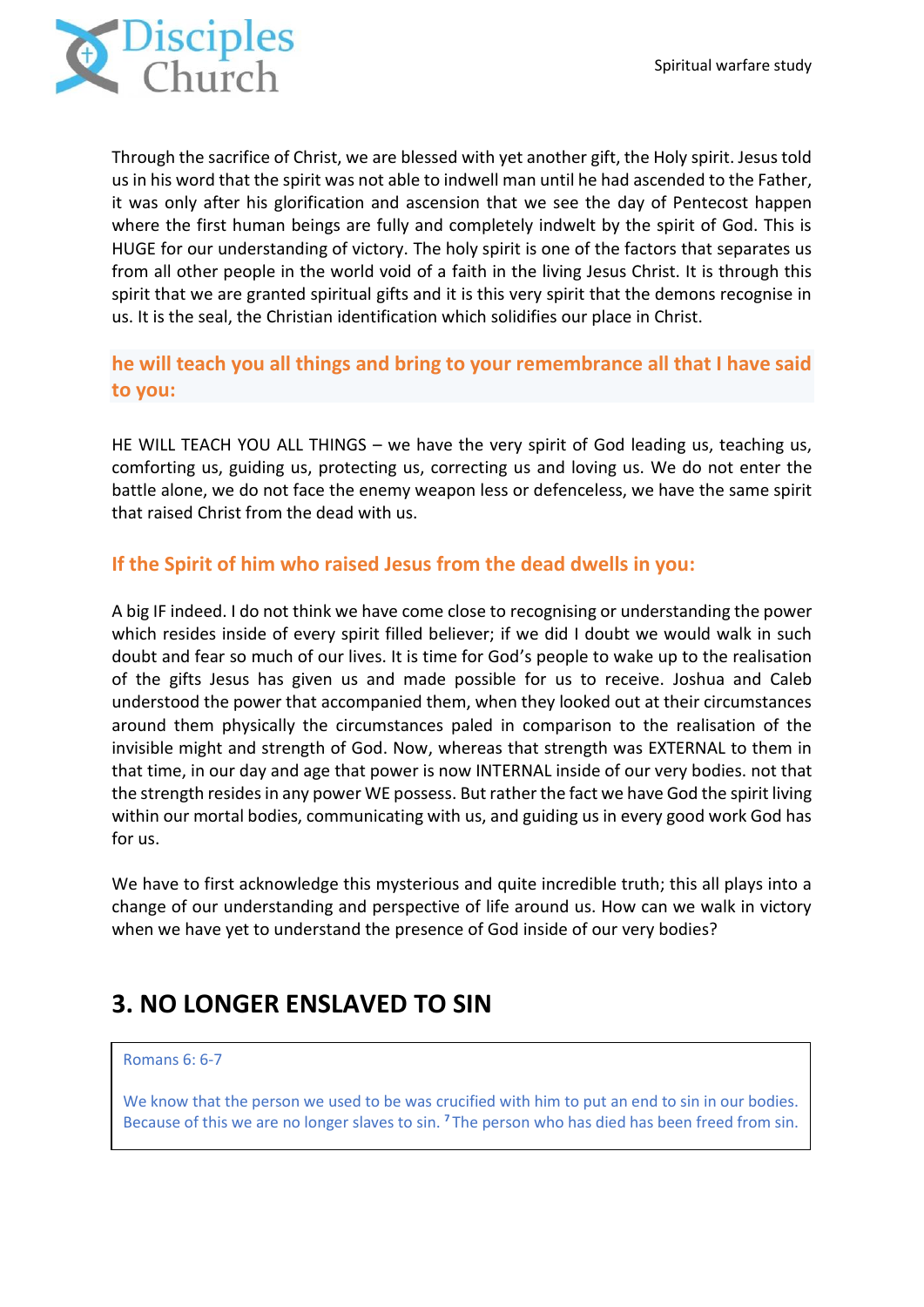

Through the sacrifice of Christ, we are blessed with yet another gift, the Holy spirit. Jesus told us in his word that the spirit was not able to indwell man until he had ascended to the Father, it was only after his glorification and ascension that we see the day of Pentecost happen where the first human beings are fully and completely indwelt by the spirit of God. This is HUGE for our understanding of victory. The holy spirit is one of the factors that separates us from all other people in the world void of a faith in the living Jesus Christ. It is through this spirit that we are granted spiritual gifts and it is this very spirit that the demons recognise in us. It is the seal, the Christian identification which solidifies our place in Christ.

## **he will teach you all things and bring to your remembrance all that I have said to you:**

HE WILL TEACH YOU ALL THINGS – we have the very spirit of God leading us, teaching us, comforting us, guiding us, protecting us, correcting us and loving us. We do not enter the battle alone, we do not face the enemy weapon less or defenceless, we have the same spirit that raised Christ from the dead with us.

### **If the Spirit of him who raised Jesus from the dead dwells in you:**

A big IF indeed. I do not think we have come close to recognising or understanding the power which resides inside of every spirit filled believer; if we did I doubt we would walk in such doubt and fear so much of our lives. It is time for God's people to wake up to the realisation of the gifts Jesus has given us and made possible for us to receive. Joshua and Caleb understood the power that accompanied them, when they looked out at their circumstances around them physically the circumstances paled in comparison to the realisation of the invisible might and strength of God. Now, whereas that strength was EXTERNAL to them in that time, in our day and age that power is now INTERNAL inside of our very bodies. not that the strength resides in any power WE possess. But rather the fact we have God the spirit living within our mortal bodies, communicating with us, and guiding us in every good work God has for us.

We have to first acknowledge this mysterious and quite incredible truth; this all plays into a change of our understanding and perspective of life around us. How can we walk in victory when we have yet to understand the presence of God inside of our very bodies?

# **3. NO LONGER ENSLAVED TO SIN**

#### Romans 6: 6-7

We know that the person we used to be was crucified with him to put an end to sin in our bodies. Because of this we are no longer slaves to sin. **<sup>7</sup>** The person who has died has been freed from sin.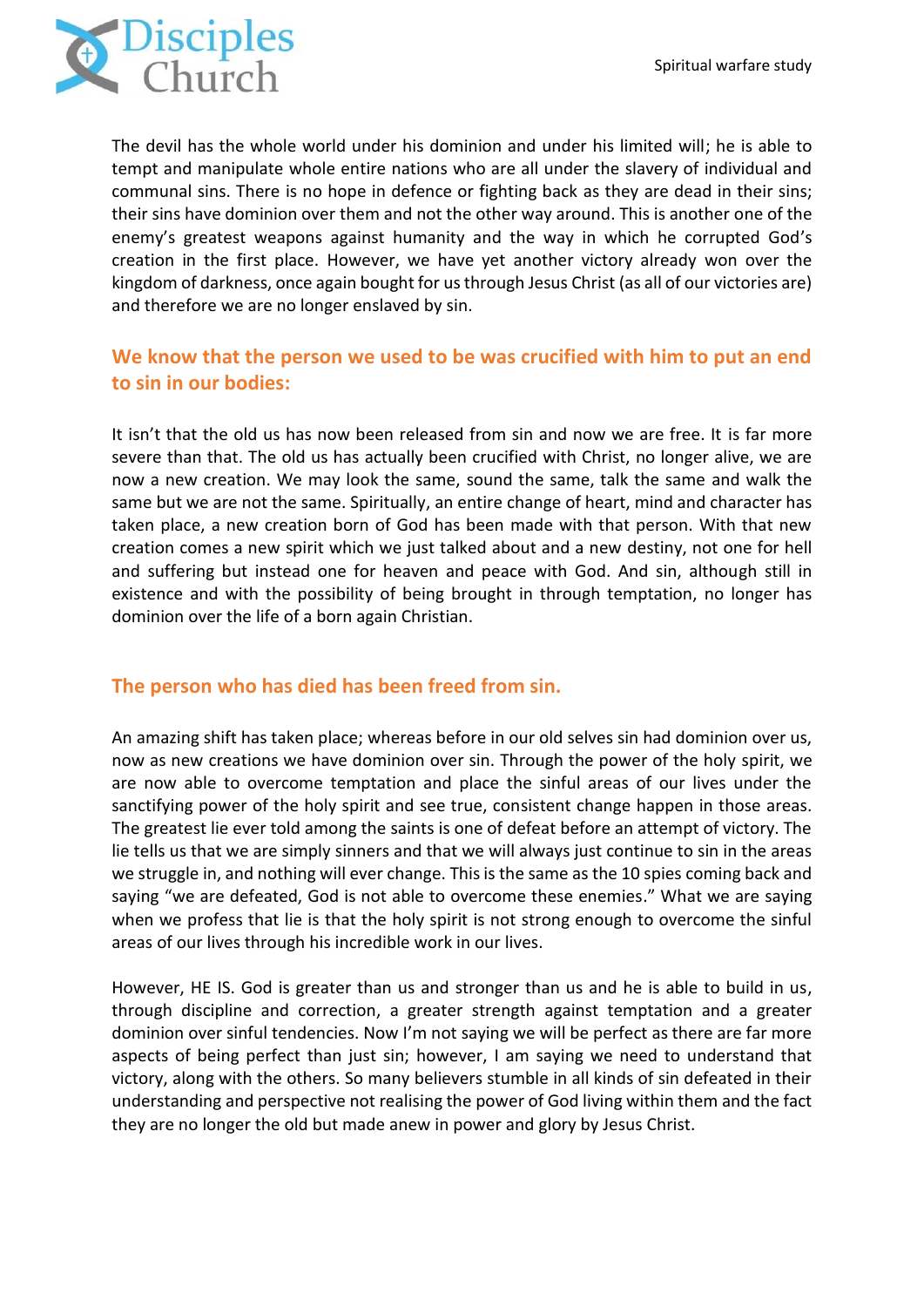

The devil has the whole world under his dominion and under his limited will; he is able to tempt and manipulate whole entire nations who are all under the slavery of individual and communal sins. There is no hope in defence or fighting back as they are dead in their sins; their sins have dominion over them and not the other way around. This is another one of the enemy's greatest weapons against humanity and the way in which he corrupted God's creation in the first place. However, we have yet another victory already won over the kingdom of darkness, once again bought for us through Jesus Christ (as all of our victories are) and therefore we are no longer enslaved by sin.

## **We know that the person we used to be was crucified with him to put an end to sin in our bodies:**

It isn't that the old us has now been released from sin and now we are free. It is far more severe than that. The old us has actually been crucified with Christ, no longer alive, we are now a new creation. We may look the same, sound the same, talk the same and walk the same but we are not the same. Spiritually, an entire change of heart, mind and character has taken place, a new creation born of God has been made with that person. With that new creation comes a new spirit which we just talked about and a new destiny, not one for hell and suffering but instead one for heaven and peace with God. And sin, although still in existence and with the possibility of being brought in through temptation, no longer has dominion over the life of a born again Christian.

### **The person who has died has been freed from sin.**

An amazing shift has taken place; whereas before in our old selves sin had dominion over us, now as new creations we have dominion over sin. Through the power of the holy spirit, we are now able to overcome temptation and place the sinful areas of our lives under the sanctifying power of the holy spirit and see true, consistent change happen in those areas. The greatest lie ever told among the saints is one of defeat before an attempt of victory. The lie tells us that we are simply sinners and that we will always just continue to sin in the areas we struggle in, and nothing will ever change. This is the same as the 10 spies coming back and saying "we are defeated, God is not able to overcome these enemies." What we are saying when we profess that lie is that the holy spirit is not strong enough to overcome the sinful areas of our lives through his incredible work in our lives.

However, HE IS. God is greater than us and stronger than us and he is able to build in us, through discipline and correction, a greater strength against temptation and a greater dominion over sinful tendencies. Now I'm not saying we will be perfect as there are far more aspects of being perfect than just sin; however, I am saying we need to understand that victory, along with the others. So many believers stumble in all kinds of sin defeated in their understanding and perspective not realising the power of God living within them and the fact they are no longer the old but made anew in power and glory by Jesus Christ.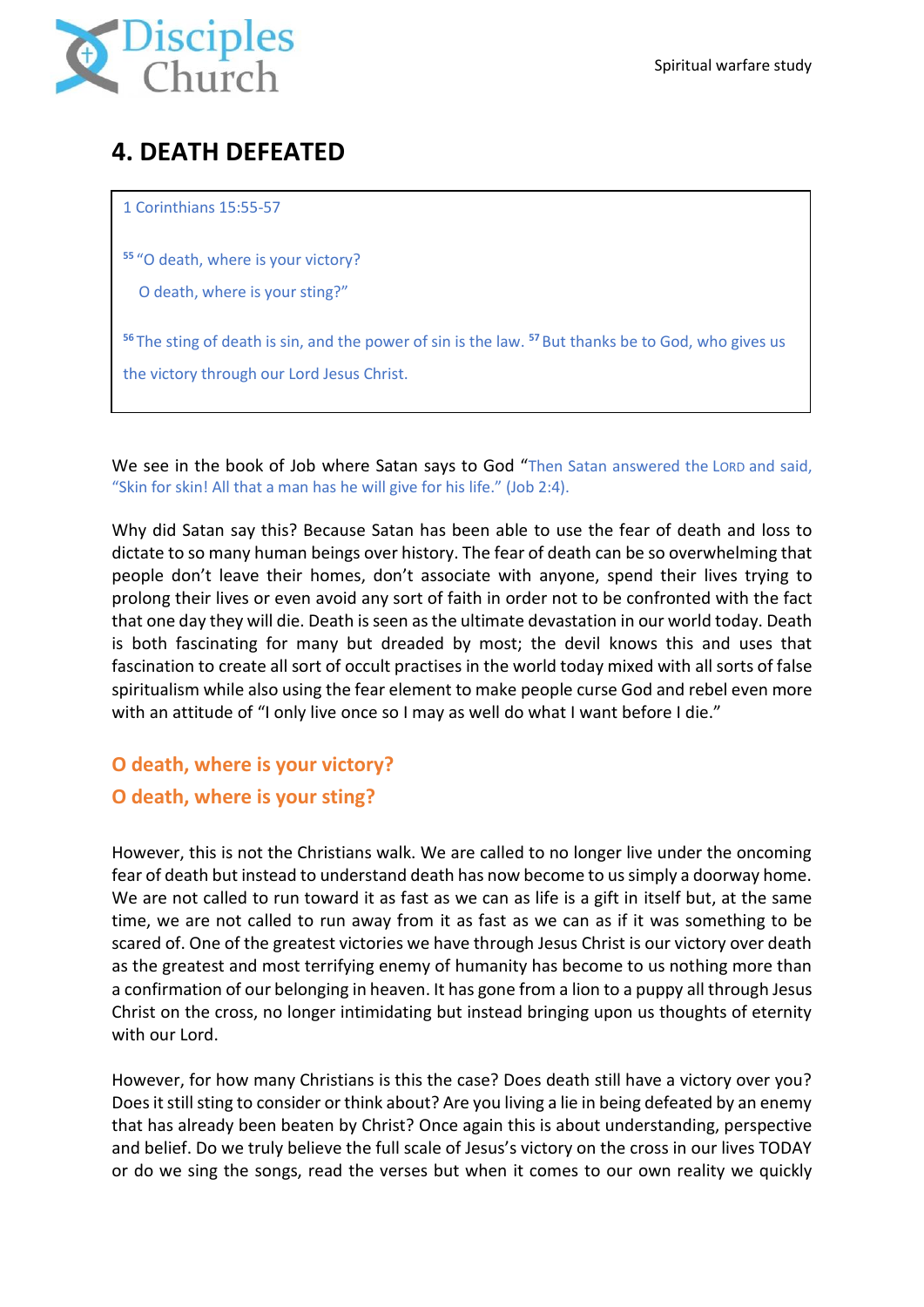

# **4. DEATH DEFEATED**

1 Corinthians 15:55-57

**<sup>55</sup>** "O death, where is your victory?

O death, where is your sting?"

**<sup>56</sup>** The sting of death is sin, and the power of sin is the law. **<sup>57</sup>** But thanks be to God, who gives us the victory through our Lord Jesus Christ.

We see in the book of Job where Satan says to God "Then Satan answered the LORD and said, "Skin for skin! All that a man has he will give for his life." (Job 2:4).

Why did Satan say this? Because Satan has been able to use the fear of death and loss to dictate to so many human beings over history. The fear of death can be so overwhelming that people don't leave their homes, don't associate with anyone, spend their lives trying to prolong their lives or even avoid any sort of faith in order not to be confronted with the fact that one day they will die. Death isseen asthe ultimate devastation in our world today. Death is both fascinating for many but dreaded by most; the devil knows this and uses that fascination to create all sort of occult practises in the world today mixed with all sorts of false spiritualism while also using the fear element to make people curse God and rebel even more with an attitude of "I only live once so I may as well do what I want before I die."

## **O death, where is your victory? O death, where is your sting?**

However, this is not the Christians walk. We are called to no longer live under the oncoming fear of death but instead to understand death has now become to us simply a doorway home. We are not called to run toward it as fast as we can as life is a gift in itself but, at the same time, we are not called to run away from it as fast as we can as if it was something to be scared of. One of the greatest victories we have through Jesus Christ is our victory over death as the greatest and most terrifying enemy of humanity has become to us nothing more than a confirmation of our belonging in heaven. It has gone from a lion to a puppy all through Jesus Christ on the cross, no longer intimidating but instead bringing upon us thoughts of eternity with our Lord.

However, for how many Christians is this the case? Does death still have a victory over you? Does it still sting to consider or think about? Are you living a lie in being defeated by an enemy that has already been beaten by Christ? Once again this is about understanding, perspective and belief. Do we truly believe the full scale of Jesus's victory on the cross in our lives TODAY or do we sing the songs, read the verses but when it comes to our own reality we quickly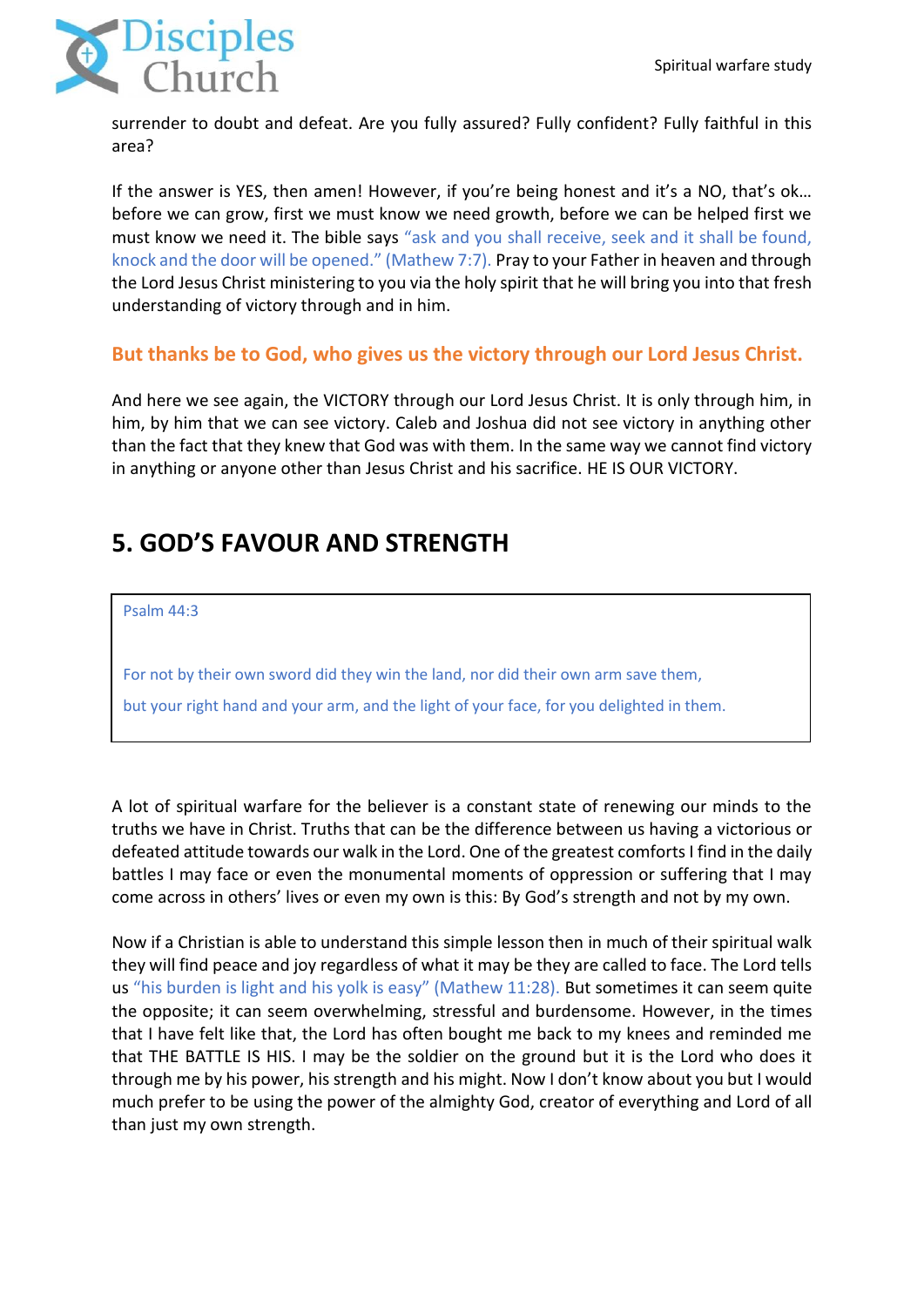

surrender to doubt and defeat. Are you fully assured? Fully confident? Fully faithful in this area?

If the answer is YES, then amen! However, if you're being honest and it's a NO, that's ok... before we can grow, first we must know we need growth, before we can be helped first we must know we need it. The bible says "ask and you shall receive, seek and it shall be found, knock and the door will be opened." (Mathew 7:7). Pray to your Father in heaven and through the Lord Jesus Christ ministering to you via the holy spirit that he will bring you into that fresh understanding of victory through and in him.

### **But thanks be to God, who gives us the victory through our Lord Jesus Christ.**

And here we see again, the VICTORY through our Lord Jesus Christ. It is only through him, in him, by him that we can see victory. Caleb and Joshua did not see victory in anything other than the fact that they knew that God was with them. In the same way we cannot find victory in anything or anyone other than Jesus Christ and his sacrifice. HE IS OUR VICTORY.

# **5. GOD'S FAVOUR AND STRENGTH**

Psalm 44:3

For not by their own sword did they win the land, nor did their own arm save them,

but your right hand and your arm, and the light of your face, for you delighted in them.

A lot of spiritual warfare for the believer is a constant state of renewing our minds to the truths we have in Christ. Truths that can be the difference between us having a victorious or defeated attitude towards our walk in the Lord. One of the greatest comforts I find in the daily battles I may face or even the monumental moments of oppression or suffering that I may come across in others' lives or even my own is this: By God's strength and not by my own.

Now if a Christian is able to understand this simple lesson then in much of their spiritual walk they will find peace and joy regardless of what it may be they are called to face. The Lord tells us "his burden is light and his yolk is easy" (Mathew 11:28). But sometimes it can seem quite the opposite; it can seem overwhelming, stressful and burdensome. However, in the times that I have felt like that, the Lord has often bought me back to my knees and reminded me that THE BATTLE IS HIS. I may be the soldier on the ground but it is the Lord who does it through me by his power, his strength and his might. Now I don't know about you but I would much prefer to be using the power of the almighty God, creator of everything and Lord of all than just my own strength.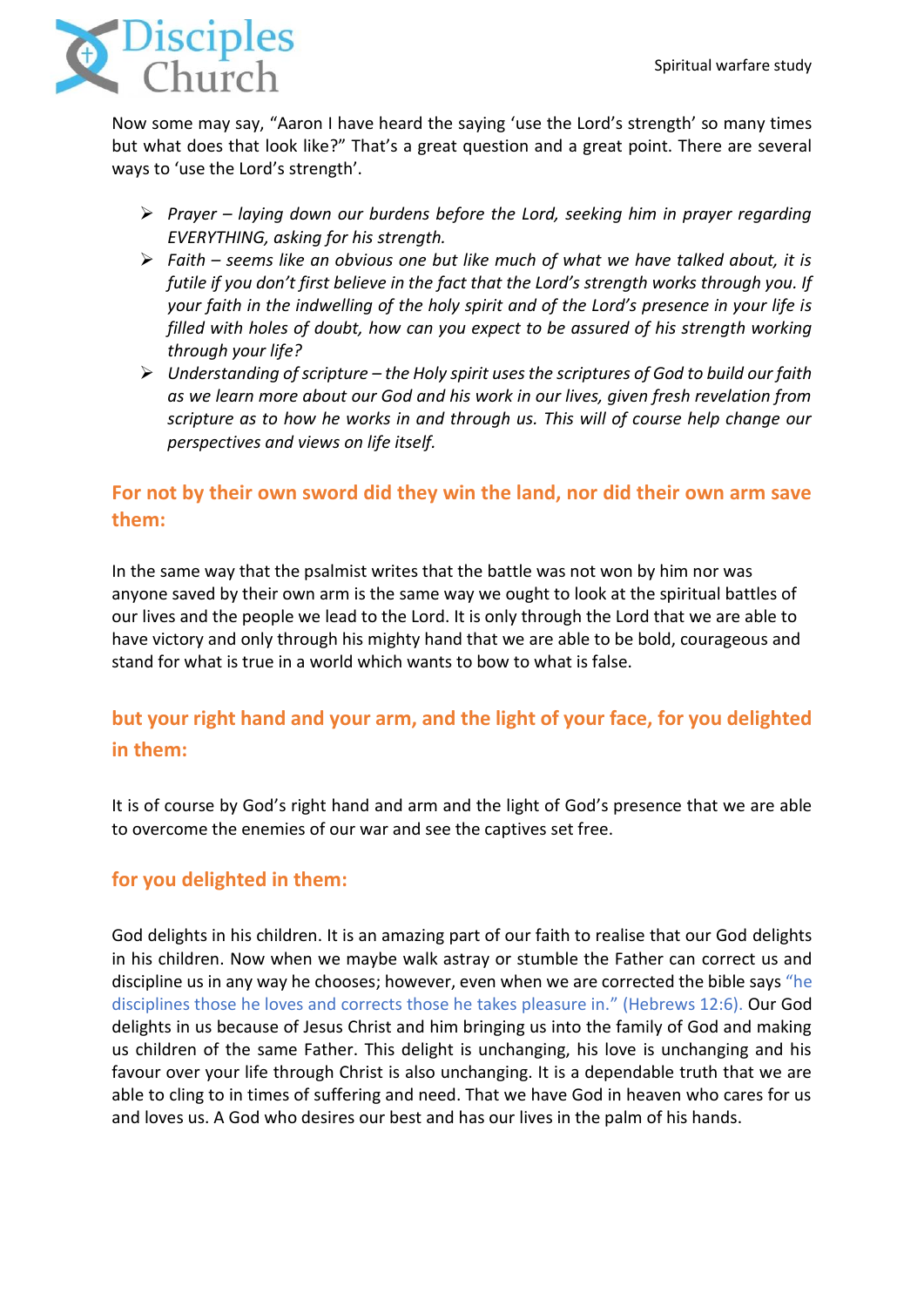

Now some may say, "Aaron I have heard the saying 'use the Lord's strength' so many times but what does that look like?" That's a great question and a great point. There are several ways to 'use the Lord's strength'.

- ➢ *Prayer – laying down our burdens before the Lord, seeking him in prayer regarding EVERYTHING, asking for his strength.*
- ➢ *Faith – seems like an obvious one but like much of what we have talked about, it is futile if you don't first believe in the fact that the Lord's strength works through you. If your faith in the indwelling of the holy spirit and of the Lord's presence in your life is filled with holes of doubt, how can you expect to be assured of his strength working through your life?*
- ➢ *Understanding of scripture – the Holy spirit uses the scriptures of God to build our faith as we learn more about our God and his work in our lives, given fresh revelation from scripture as to how he works in and through us. This will of course help change our perspectives and views on life itself.*

## **For not by their own sword did they win the land, nor did their own arm save them:**

In the same way that the psalmist writes that the battle was not won by him nor was anyone saved by their own arm is the same way we ought to look at the spiritual battles of our lives and the people we lead to the Lord. It is only through the Lord that we are able to have victory and only through his mighty hand that we are able to be bold, courageous and stand for what is true in a world which wants to bow to what is false.

## **but your right hand and your arm, and the light of your face, for you delighted in them:**

It is of course by God's right hand and arm and the light of God's presence that we are able to overcome the enemies of our war and see the captives set free.

## **for you delighted in them:**

God delights in his children. It is an amazing part of our faith to realise that our God delights in his children. Now when we maybe walk astray or stumble the Father can correct us and discipline us in any way he chooses; however, even when we are corrected the bible says "he disciplines those he loves and corrects those he takes pleasure in." (Hebrews 12:6). Our God delights in us because of Jesus Christ and him bringing us into the family of God and making us children of the same Father. This delight is unchanging, his love is unchanging and his favour over your life through Christ is also unchanging. It is a dependable truth that we are able to cling to in times of suffering and need. That we have God in heaven who cares for us and loves us. A God who desires our best and has our lives in the palm of his hands.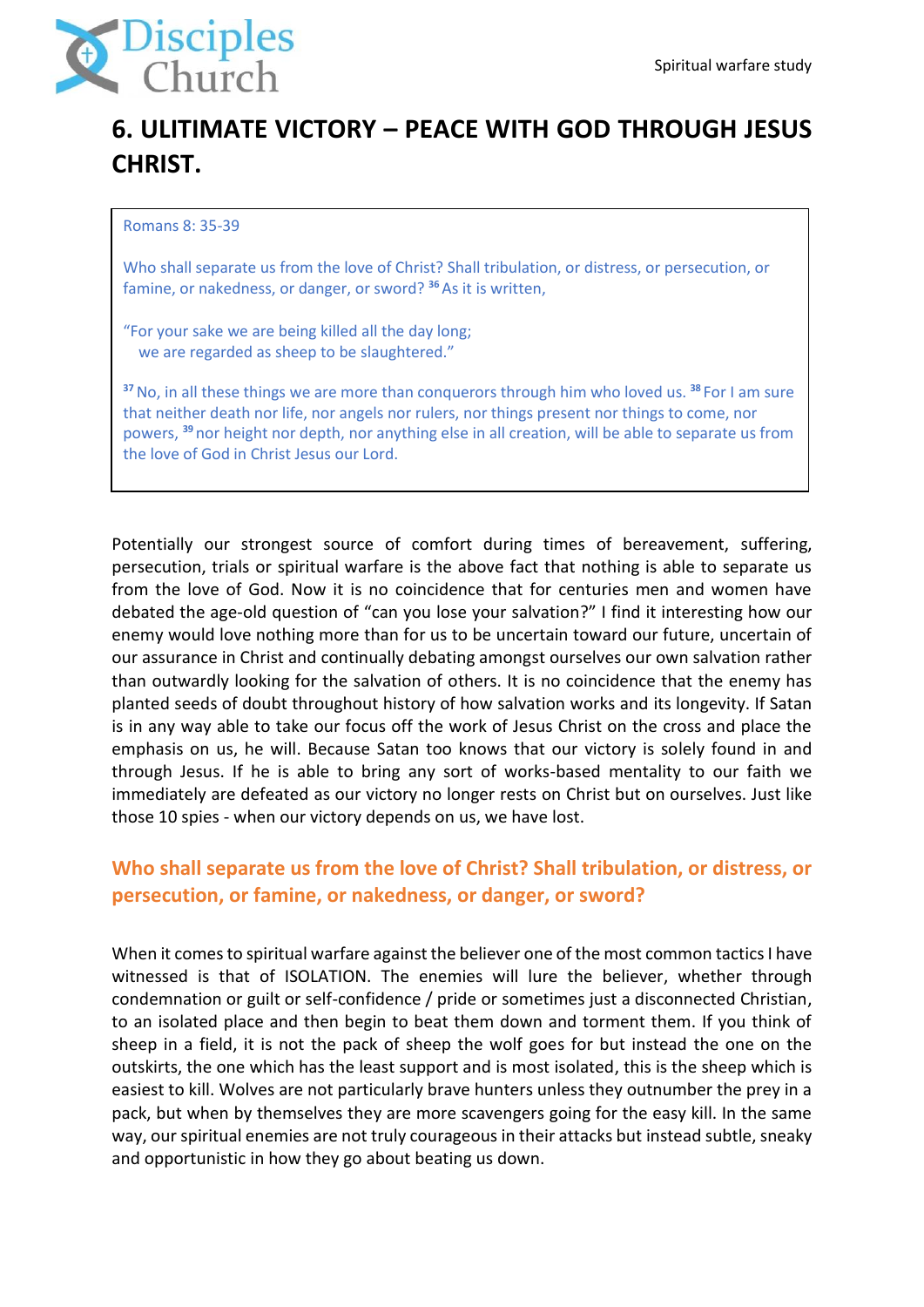

# **6. ULITIMATE VICTORY – PEACE WITH GOD THROUGH JESUS CHRIST.**

#### Romans 8: 35-39

Who shall separate us from the love of Christ? Shall tribulation, or distress, or persecution, or famine, or nakedness, or danger, or sword? **<sup>36</sup>**As it is written,

"For your sake we are being killed all the day long; we are regarded as sheep to be slaughtered."

**<sup>37</sup>**No, in all these things we are more than conquerors through him who loved us. **<sup>38</sup>** For I am sure that neither death nor life, nor angels nor rulers, nor things present nor things to come, nor powers, **<sup>39</sup>** nor height nor depth, nor anything else in all creation, will be able to separate us from the love of God in Christ Jesus our Lord.

Potentially our strongest source of comfort during times of bereavement, suffering, persecution, trials or spiritual warfare is the above fact that nothing is able to separate us from the love of God. Now it is no coincidence that for centuries men and women have debated the age-old question of "can you lose your salvation?" I find it interesting how our enemy would love nothing more than for us to be uncertain toward our future, uncertain of our assurance in Christ and continually debating amongst ourselves our own salvation rather than outwardly looking for the salvation of others. It is no coincidence that the enemy has planted seeds of doubt throughout history of how salvation works and its longevity. If Satan is in any way able to take our focus off the work of Jesus Christ on the cross and place the emphasis on us, he will. Because Satan too knows that our victory is solely found in and through Jesus. If he is able to bring any sort of works-based mentality to our faith we immediately are defeated as our victory no longer rests on Christ but on ourselves. Just like those 10 spies - when our victory depends on us, we have lost.

## **Who shall separate us from the love of Christ? Shall tribulation, or distress, or persecution, or famine, or nakedness, or danger, or sword?**

When it comes to spiritual warfare against the believer one of the most common tactics I have witnessed is that of ISOLATION. The enemies will lure the believer, whether through condemnation or guilt or self-confidence / pride or sometimes just a disconnected Christian, to an isolated place and then begin to beat them down and torment them. If you think of sheep in a field, it is not the pack of sheep the wolf goes for but instead the one on the outskirts, the one which has the least support and is most isolated, this is the sheep which is easiest to kill. Wolves are not particularly brave hunters unless they outnumber the prey in a pack, but when by themselves they are more scavengers going for the easy kill. In the same way, our spiritual enemies are not truly courageous in their attacks but instead subtle, sneaky and opportunistic in how they go about beating us down.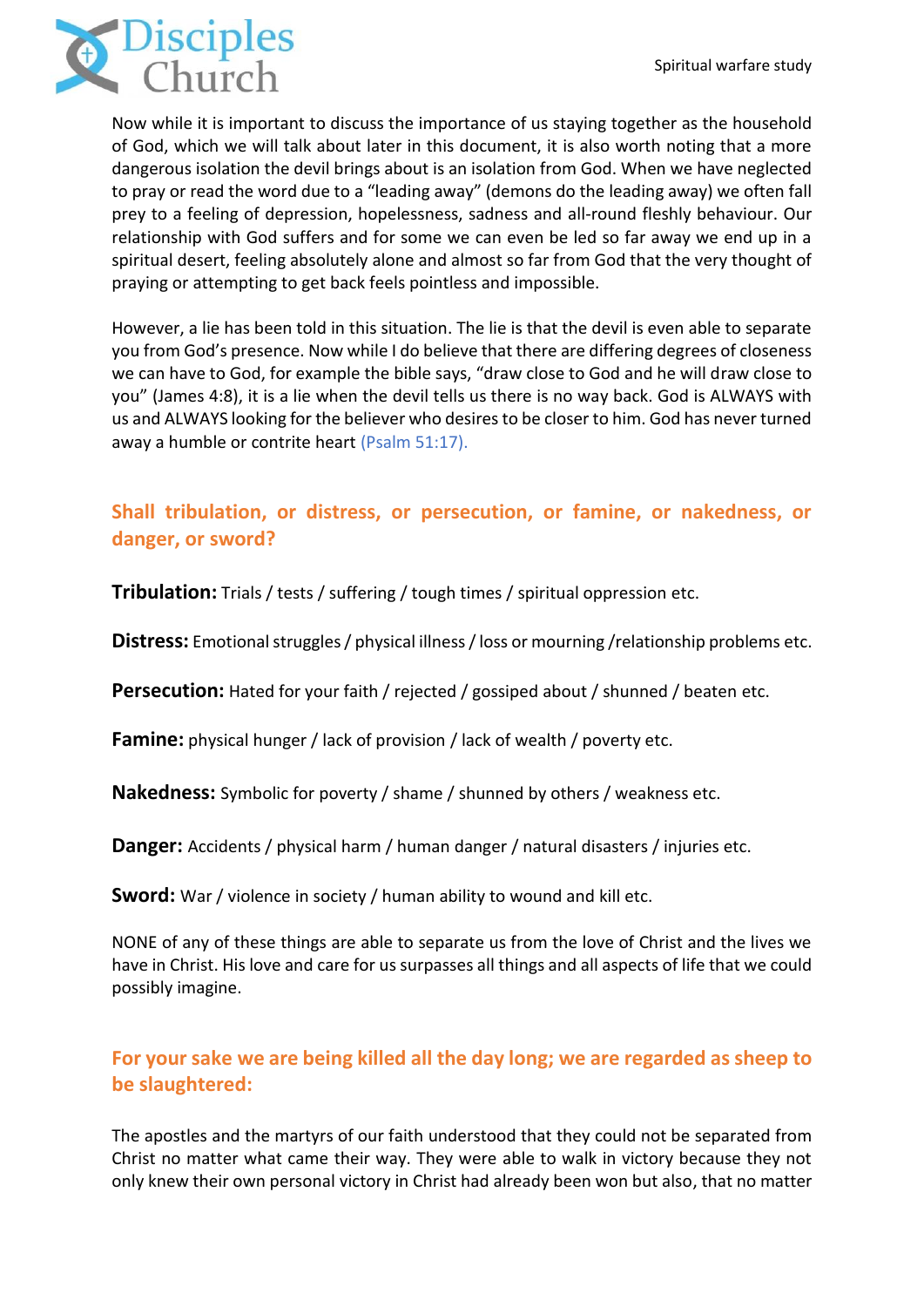

Now while it is important to discuss the importance of us staying together as the household of God, which we will talk about later in this document, it is also worth noting that a more dangerous isolation the devil brings about is an isolation from God. When we have neglected to pray or read the word due to a "leading away" (demons do the leading away) we often fall prey to a feeling of depression, hopelessness, sadness and all-round fleshly behaviour. Our relationship with God suffers and for some we can even be led so far away we end up in a spiritual desert, feeling absolutely alone and almost so far from God that the very thought of praying or attempting to get back feels pointless and impossible.

However, a lie has been told in this situation. The lie is that the devil is even able to separate you from God's presence. Now while I do believe that there are differing degrees of closeness we can have to God, for example the bible says, "draw close to God and he will draw close to you" (James 4:8), it is a lie when the devil tells us there is no way back. God is ALWAYS with us and ALWAYS looking for the believer who desires to be closer to him. God has never turned away a humble or contrite heart (Psalm 51:17).

## **Shall tribulation, or distress, or persecution, or famine, or nakedness, or danger, or sword?**

**Tribulation:** Trials / tests / suffering / tough times / spiritual oppression etc.

**Distress:** Emotional struggles / physical illness / loss or mourning /relationship problems etc.

**Persecution:** Hated for your faith / rejected / gossiped about / shunned / beaten etc.

**Famine:** physical hunger / lack of provision / lack of wealth / poverty etc.

**Nakedness:** Symbolic for poverty / shame / shunned by others / weakness etc.

**Danger:** Accidents / physical harm / human danger / natural disasters / injuries etc.

**Sword:** War / violence in society / human ability to wound and kill etc.

NONE of any of these things are able to separate us from the love of Christ and the lives we have in Christ. His love and care for us surpasses all things and all aspects of life that we could possibly imagine.

## **For your sake we are being killed all the day long; we are regarded as sheep to be slaughtered:**

The apostles and the martyrs of our faith understood that they could not be separated from Christ no matter what came their way. They were able to walk in victory because they not only knew their own personal victory in Christ had already been won but also, that no matter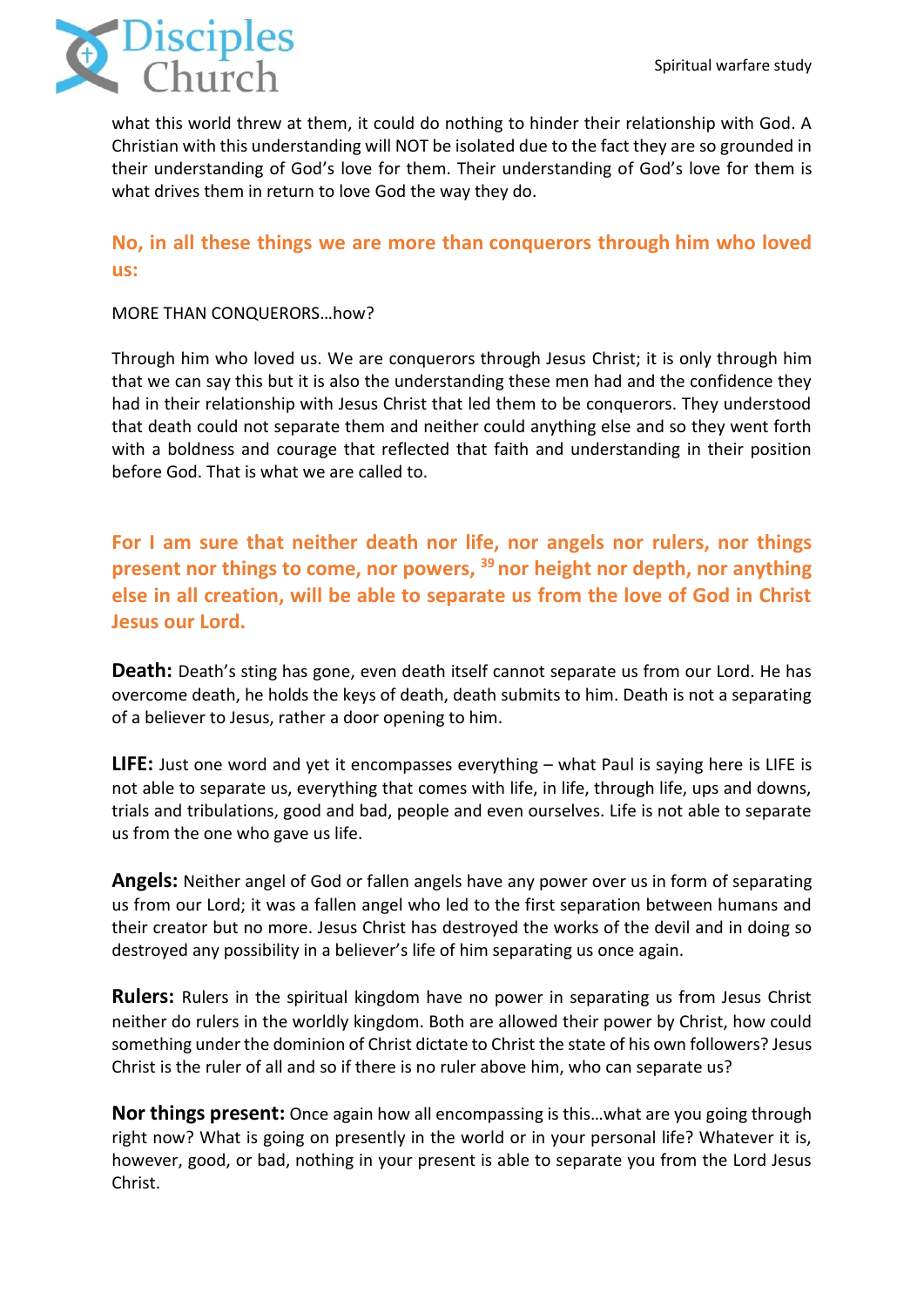

what this world threw at them, it could do nothing to hinder their relationship with God. A Christian with this understanding will NOT be isolated due to the fact they are so grounded in their understanding of God's love for them. Their understanding of God's love for them is what drives them in return to love God the way they do.

### **No, in all these things we are more than conquerors through him who loved us:**

#### MORE THAN CONQUERORS…how?

Through him who loved us. We are conquerors through Jesus Christ; it is only through him that we can say this but it is also the understanding these men had and the confidence they had in their relationship with Jesus Christ that led them to be conquerors. They understood that death could not separate them and neither could anything else and so they went forth with a boldness and courage that reflected that faith and understanding in their position before God. That is what we are called to.

**For I am sure that neither death nor life, nor angels nor rulers, nor things present nor things to come, nor powers, <sup>39</sup> nor height nor depth, nor anything else in all creation, will be able to separate us from the love of God in Christ Jesus our Lord.**

**Death:** Death's sting has gone, even death itself cannot separate us from our Lord. He has overcome death, he holds the keys of death, death submits to him. Death is not a separating of a believer to Jesus, rather a door opening to him.

**LIFE:** Just one word and yet it encompasses everything – what Paul is saying here is LIFE is not able to separate us, everything that comes with life, in life, through life, ups and downs, trials and tribulations, good and bad, people and even ourselves. Life is not able to separate us from the one who gave us life.

**Angels:** Neither angel of God or fallen angels have any power over us in form of separating us from our Lord; it was a fallen angel who led to the first separation between humans and their creator but no more. Jesus Christ has destroyed the works of the devil and in doing so destroyed any possibility in a believer's life of him separating us once again.

**Rulers:** Rulers in the spiritual kingdom have no power in separating us from Jesus Christ neither do rulers in the worldly kingdom. Both are allowed their power by Christ, how could something under the dominion of Christ dictate to Christ the state of his own followers? Jesus Christ is the ruler of all and so if there is no ruler above him, who can separate us?

**Nor things present:** Once again how all encompassing is this…what are you going through right now? What is going on presently in the world or in your personal life? Whatever it is, however, good, or bad, nothing in your present is able to separate you from the Lord Jesus Christ.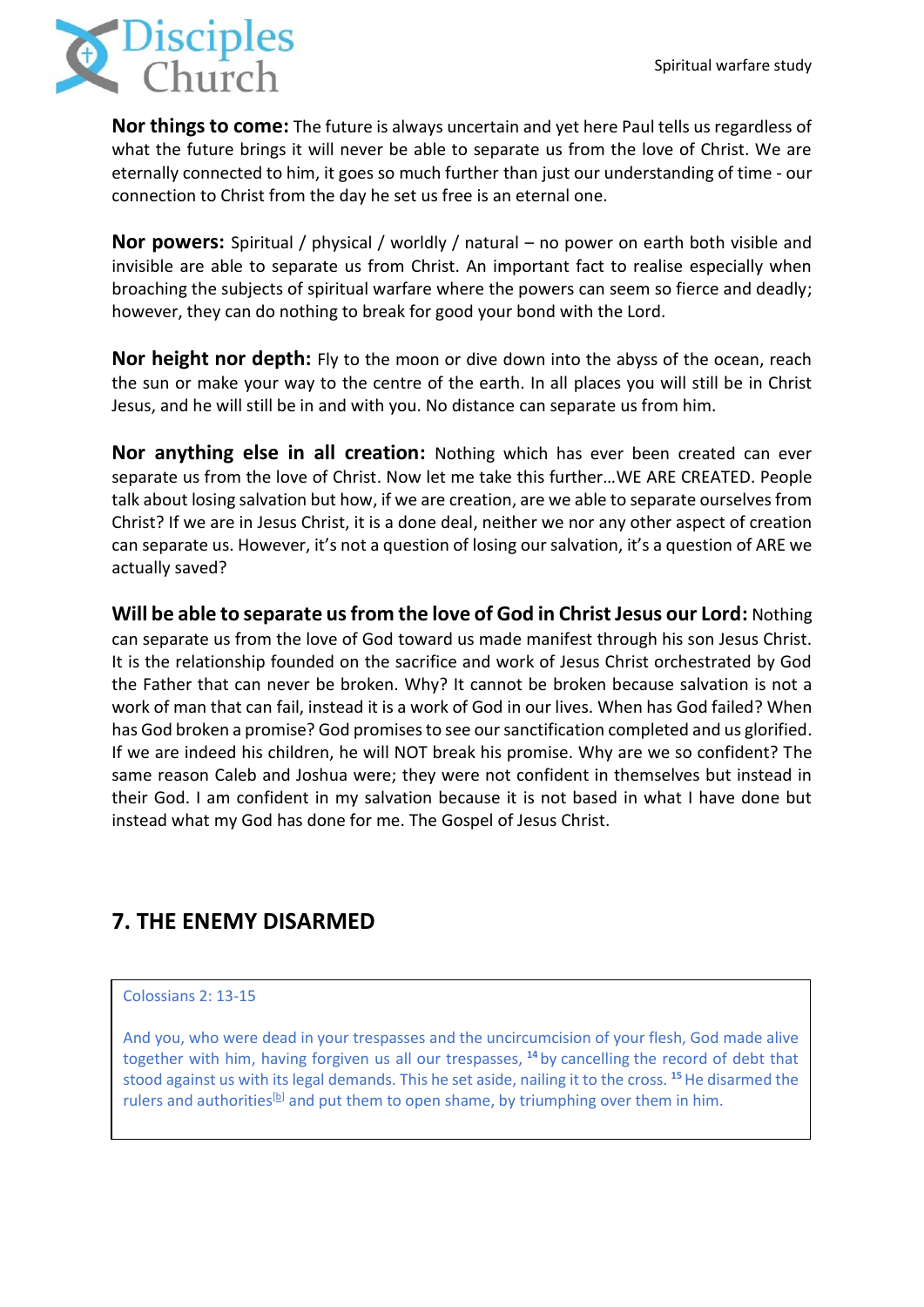

**Nor things to come:** The future is always uncertain and yet here Paul tells us regardless of what the future brings it will never be able to separate us from the love of Christ. We are eternally connected to him, it goes so much further than just our understanding of time - our connection to Christ from the day he set us free is an eternal one.

**Nor powers:** Spiritual / physical / worldly / natural – no power on earth both visible and invisible are able to separate us from Christ. An important fact to realise especially when broaching the subjects of spiritual warfare where the powers can seem so fierce and deadly; however, they can do nothing to break for good your bond with the Lord.

**Nor height nor depth:** Fly to the moon or dive down into the abyss of the ocean, reach the sun or make your way to the centre of the earth. In all places you will still be in Christ Jesus, and he will still be in and with you. No distance can separate us from him.

**Nor anything else in all creation:** Nothing which has ever been created can ever separate us from the love of Christ. Now let me take this further…WE ARE CREATED. People talk about losing salvation but how, if we are creation, are we able to separate ourselves from Christ? If we are in Jesus Christ, it is a done deal, neither we nor any other aspect of creation can separate us. However, it's not a question of losing our salvation, it's a question of ARE we actually saved?

**Will be able to separate us from the love of God in Christ Jesus our Lord:** Nothing can separate us from the love of God toward us made manifest through his son Jesus Christ. It is the relationship founded on the sacrifice and work of Jesus Christ orchestrated by God the Father that can never be broken. Why? It cannot be broken because salvation is not a work of man that can fail, instead it is a work of God in our lives. When has God failed? When has God broken a promise? God promises to see our sanctification completed and us glorified. If we are indeed his children, he will NOT break his promise. Why are we so confident? The same reason Caleb and Joshua were; they were not confident in themselves but instead in their God. I am confident in my salvation because it is not based in what I have done but instead what my God has done for me. The Gospel of Jesus Christ.

## **7. THE ENEMY DISARMED**

#### Colossians 2: 13-15

And you, who were dead in your trespasses and the uncircumcision of your flesh, God made alive together with him, having forgiven us all our trespasses, **<sup>14</sup>** by cancelling the record of debt that stood against us with its legal demands. This he set aside, nailing it to the cross. **<sup>15</sup>**He disarmed the rulers and authorities<sup>[\[b\]](https://www.biblegateway.com/passage/?search=Colossians+2&version=ESV#fen-ESV-29493b)</sup> and put them to open shame, by triumphing over them in him.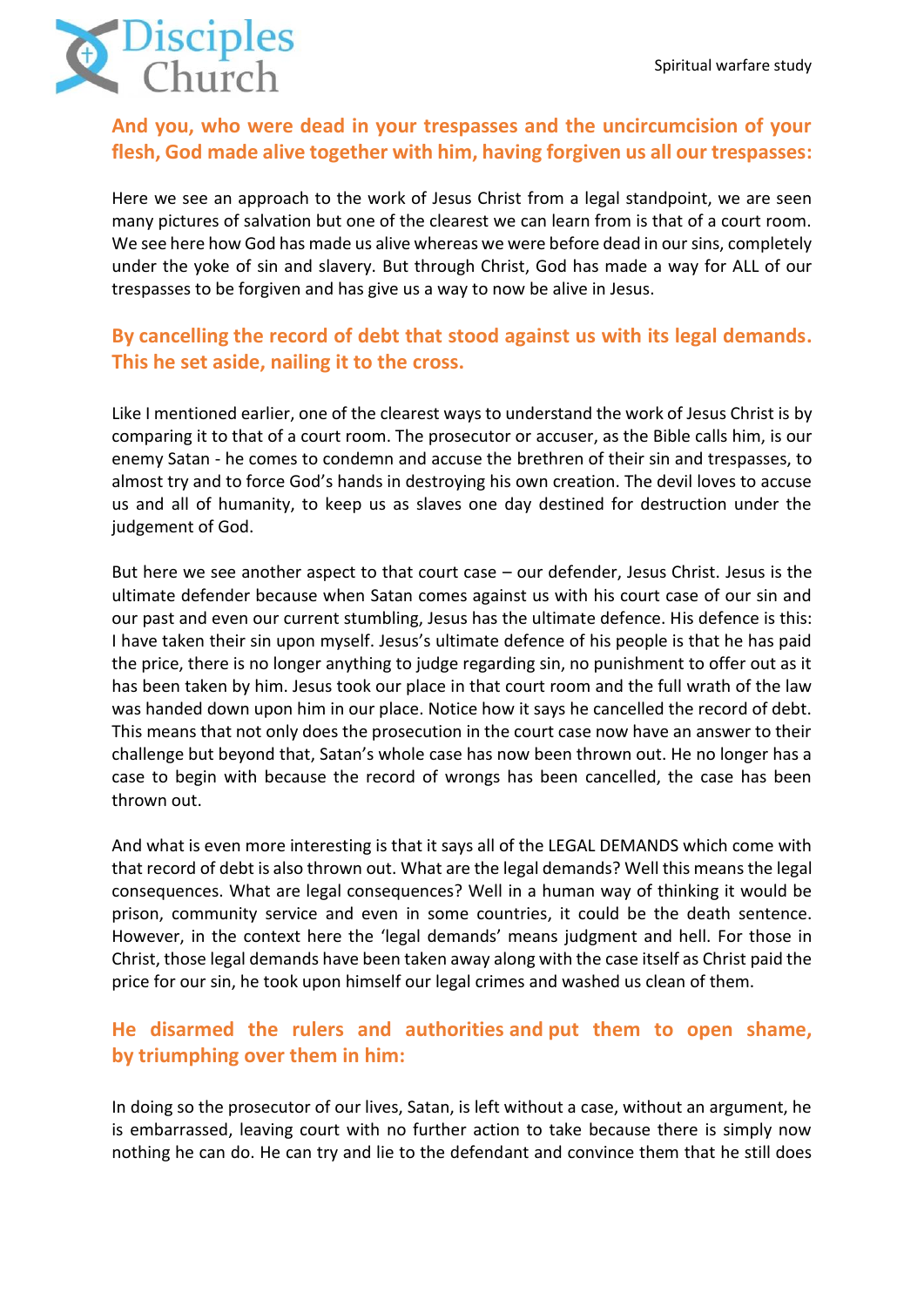

## **And you, who were dead in your trespasses and the uncircumcision of your flesh, God made alive together with him, having forgiven us all our trespasses:**

Here we see an approach to the work of Jesus Christ from a legal standpoint, we are seen many pictures of salvation but one of the clearest we can learn from is that of a court room. We see here how God has made us alive whereas we were before dead in our sins, completely under the yoke of sin and slavery. But through Christ, God has made a way for ALL of our trespasses to be forgiven and has give us a way to now be alive in Jesus.

## **By cancelling the record of debt that stood against us with its legal demands. This he set aside, nailing it to the cross.**

Like I mentioned earlier, one of the clearest ways to understand the work of Jesus Christ is by comparing it to that of a court room. The prosecutor or accuser, as the Bible calls him, is our enemy Satan - he comes to condemn and accuse the brethren of their sin and trespasses, to almost try and to force God's hands in destroying his own creation. The devil loves to accuse us and all of humanity, to keep us as slaves one day destined for destruction under the judgement of God.

But here we see another aspect to that court case – our defender, Jesus Christ. Jesus is the ultimate defender because when Satan comes against us with his court case of our sin and our past and even our current stumbling, Jesus has the ultimate defence. His defence is this: I have taken their sin upon myself. Jesus's ultimate defence of his people is that he has paid the price, there is no longer anything to judge regarding sin, no punishment to offer out as it has been taken by him. Jesus took our place in that court room and the full wrath of the law was handed down upon him in our place. Notice how it says he cancelled the record of debt. This means that not only does the prosecution in the court case now have an answer to their challenge but beyond that, Satan's whole case has now been thrown out. He no longer has a case to begin with because the record of wrongs has been cancelled, the case has been thrown out.

And what is even more interesting is that it says all of the LEGAL DEMANDS which come with that record of debt is also thrown out. What are the legal demands? Well this meansthe legal consequences. What are legal consequences? Well in a human way of thinking it would be prison, community service and even in some countries, it could be the death sentence. However, in the context here the 'legal demands' means judgment and hell. For those in Christ, those legal demands have been taken away along with the case itself as Christ paid the price for our sin, he took upon himself our legal crimes and washed us clean of them.

## **He disarmed the rulers and authorities and put them to open shame, by triumphing over them in him:**

In doing so the prosecutor of our lives, Satan, is left without a case, without an argument, he is embarrassed, leaving court with no further action to take because there is simply now nothing he can do. He can try and lie to the defendant and convince them that he still does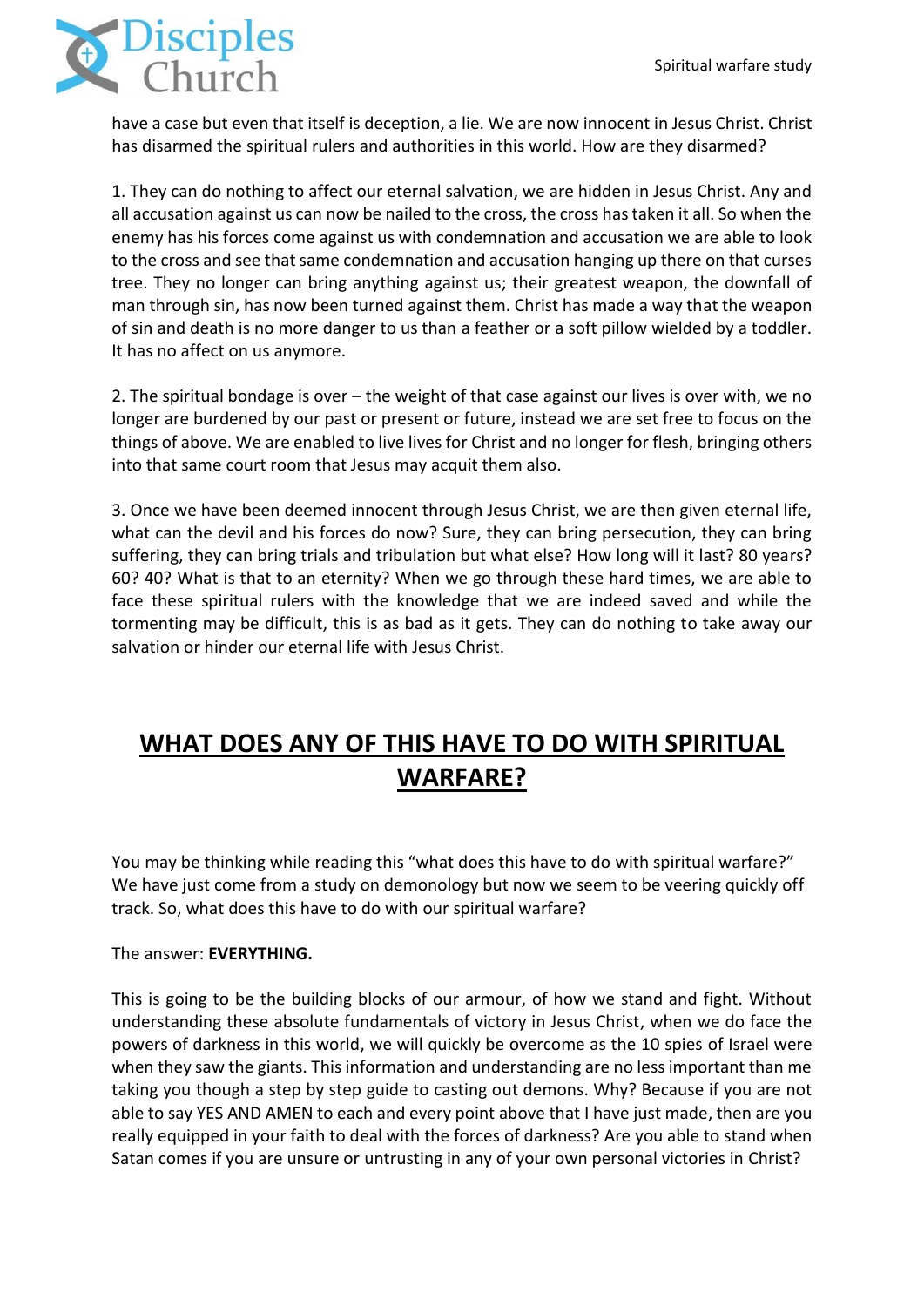

have a case but even that itself is deception, a lie. We are now innocent in Jesus Christ. Christ has disarmed the spiritual rulers and authorities in this world. How are they disarmed?

1. They can do nothing to affect our eternal salvation, we are hidden in Jesus Christ. Any and all accusation against us can now be nailed to the cross, the cross has taken it all. So when the enemy has his forces come against us with condemnation and accusation we are able to look to the cross and see that same condemnation and accusation hanging up there on that curses tree. They no longer can bring anything against us; their greatest weapon, the downfall of man through sin, has now been turned against them. Christ has made a way that the weapon of sin and death is no more danger to us than a feather or a soft pillow wielded by a toddler. It has no affect on us anymore.

2. The spiritual bondage is over – the weight of that case against our lives is over with, we no longer are burdened by our past or present or future, instead we are set free to focus on the things of above. We are enabled to live lives for Christ and no longer for flesh, bringing others into that same court room that Jesus may acquit them also.

3. Once we have been deemed innocent through Jesus Christ, we are then given eternal life, what can the devil and his forces do now? Sure, they can bring persecution, they can bring suffering, they can bring trials and tribulation but what else? How long will it last? 80 years? 60? 40? What is that to an eternity? When we go through these hard times, we are able to face these spiritual rulers with the knowledge that we are indeed saved and while the tormenting may be difficult, this is as bad as it gets. They can do nothing to take away our salvation or hinder our eternal life with Jesus Christ.

# **WHAT DOES ANY OF THIS HAVE TO DO WITH SPIRITUAL WARFARE?**

You may be thinking while reading this "what does this have to do with spiritual warfare?" We have just come from a study on demonology but now we seem to be veering quickly off track. So, what does this have to do with our spiritual warfare?

### The answer: **EVERYTHING.**

This is going to be the building blocks of our armour, of how we stand and fight. Without understanding these absolute fundamentals of victory in Jesus Christ, when we do face the powers of darkness in this world, we will quickly be overcome as the 10 spies of Israel were when they saw the giants. This information and understanding are no less important than me taking you though a step by step guide to casting out demons. Why? Because if you are not able to say YES AND AMEN to each and every point above that I have just made, then are you really equipped in your faith to deal with the forces of darkness? Are you able to stand when Satan comes if you are unsure or untrusting in any of your own personal victories in Christ?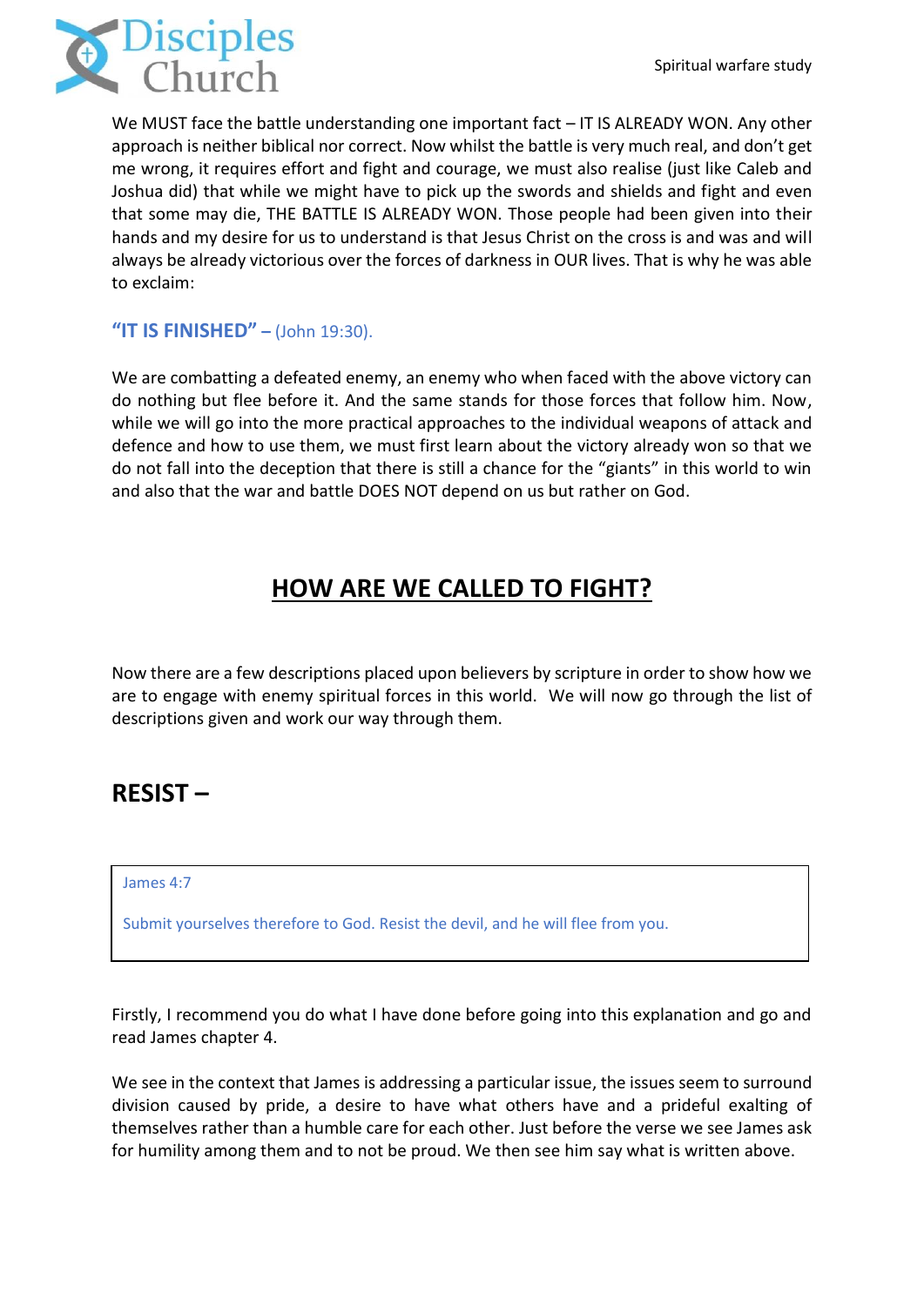

We MUST face the battle understanding one important fact – IT IS ALREADY WON. Any other approach is neither biblical nor correct. Now whilst the battle is very much real, and don't get me wrong, it requires effort and fight and courage, we must also realise (just like Caleb and Joshua did) that while we might have to pick up the swords and shields and fight and even that some may die, THE BATTLE IS ALREADY WON. Those people had been given into their hands and my desire for us to understand is that Jesus Christ on the cross is and was and will always be already victorious over the forces of darkness in OUR lives. That is why he was able to exclaim:

### **"IT IS FINISHED" –** (John 19:30).

We are combatting a defeated enemy, an enemy who when faced with the above victory can do nothing but flee before it. And the same stands for those forces that follow him. Now, while we will go into the more practical approaches to the individual weapons of attack and defence and how to use them, we must first learn about the victory already won so that we do not fall into the deception that there is still a chance for the "giants" in this world to win and also that the war and battle DOES NOT depend on us but rather on God.

# **HOW ARE WE CALLED TO FIGHT?**

Now there are a few descriptions placed upon believers by scripture in order to show how we are to engage with enemy spiritual forces in this world. We will now go through the list of descriptions given and work our way through them.

## **RESIST –**

#### James 4:7

Submit yourselves therefore to God. Resist the devil, and he will flee from you.

Firstly, I recommend you do what I have done before going into this explanation and go and read James chapter 4.

We see in the context that James is addressing a particular issue, the issues seem to surround division caused by pride, a desire to have what others have and a prideful exalting of themselves rather than a humble care for each other. Just before the verse we see James ask for humility among them and to not be proud. We then see him say what is written above.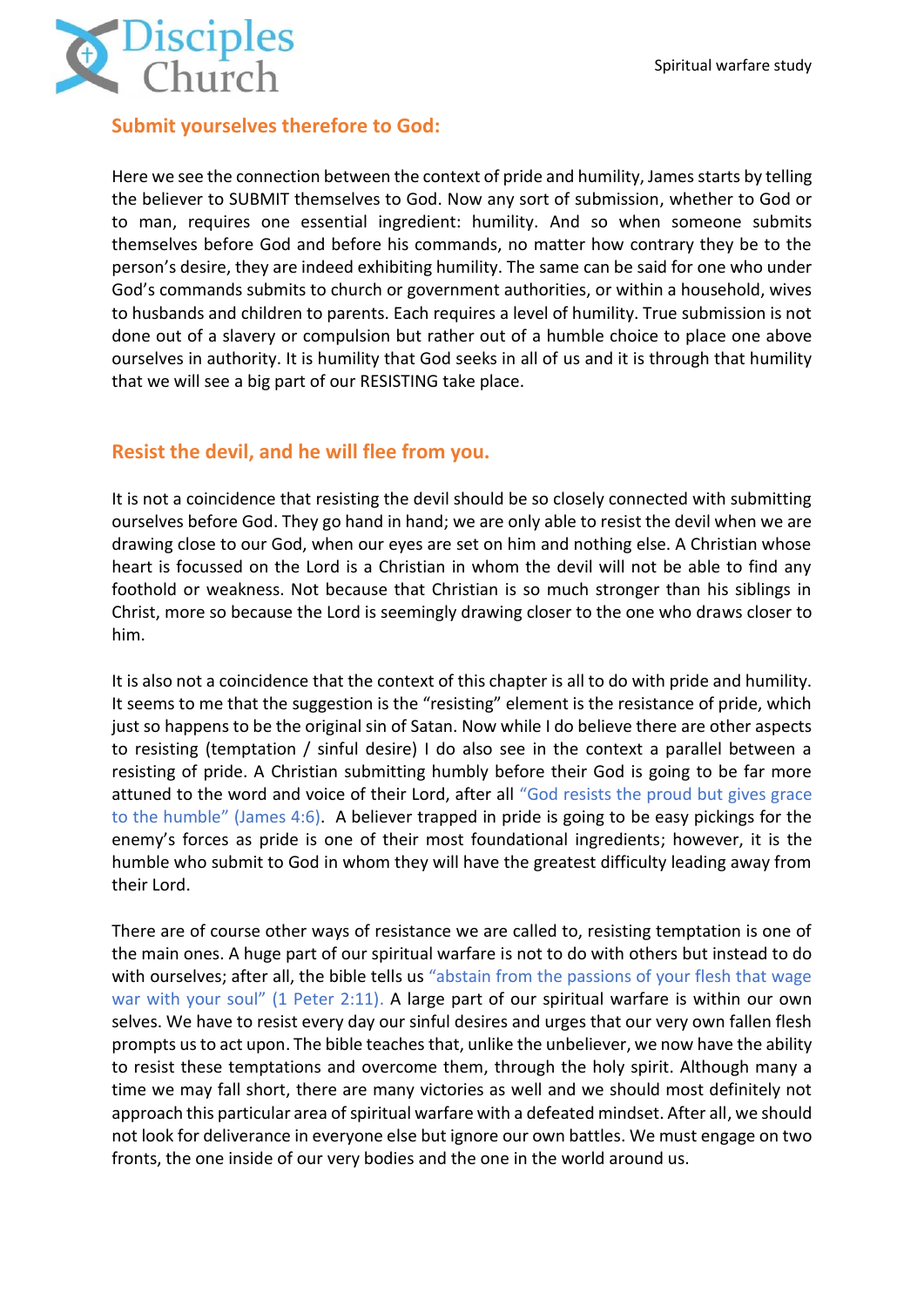

### **Submit yourselves therefore to God:**

Here we see the connection between the context of pride and humility, James starts by telling the believer to SUBMIT themselves to God. Now any sort of submission, whether to God or to man, requires one essential ingredient: humility. And so when someone submits themselves before God and before his commands, no matter how contrary they be to the person's desire, they are indeed exhibiting humility. The same can be said for one who under God's commands submits to church or government authorities, or within a household, wives to husbands and children to parents. Each requires a level of humility. True submission is not done out of a slavery or compulsion but rather out of a humble choice to place one above ourselves in authority. It is humility that God seeks in all of us and it is through that humility that we will see a big part of our RESISTING take place.

### **Resist the devil, and he will flee from you.**

It is not a coincidence that resisting the devil should be so closely connected with submitting ourselves before God. They go hand in hand; we are only able to resist the devil when we are drawing close to our God, when our eyes are set on him and nothing else. A Christian whose heart is focussed on the Lord is a Christian in whom the devil will not be able to find any foothold or weakness. Not because that Christian is so much stronger than his siblings in Christ, more so because the Lord is seemingly drawing closer to the one who draws closer to him.

It is also not a coincidence that the context of this chapter is all to do with pride and humility. It seems to me that the suggestion is the "resisting" element is the resistance of pride, which just so happens to be the original sin of Satan. Now while I do believe there are other aspects to resisting (temptation / sinful desire) I do also see in the context a parallel between a resisting of pride. A Christian submitting humbly before their God is going to be far more attuned to the word and voice of their Lord, after all "God resists the proud but gives grace to the humble" (James 4:6). A believer trapped in pride is going to be easy pickings for the enemy's forces as pride is one of their most foundational ingredients; however, it is the humble who submit to God in whom they will have the greatest difficulty leading away from their Lord.

There are of course other ways of resistance we are called to, resisting temptation is one of the main ones. A huge part of our spiritual warfare is not to do with others but instead to do with ourselves; after all, the bible tells us "abstain from the passions of your flesh that wage war with your soul" (1 Peter 2:11). A large part of our spiritual warfare is within our own selves. We have to resist every day our sinful desires and urges that our very own fallen flesh prompts us to act upon. The bible teaches that, unlike the unbeliever, we now have the ability to resist these temptations and overcome them, through the holy spirit. Although many a time we may fall short, there are many victories as well and we should most definitely not approach this particular area of spiritual warfare with a defeated mindset. After all, we should not look for deliverance in everyone else but ignore our own battles. We must engage on two fronts, the one inside of our very bodies and the one in the world around us.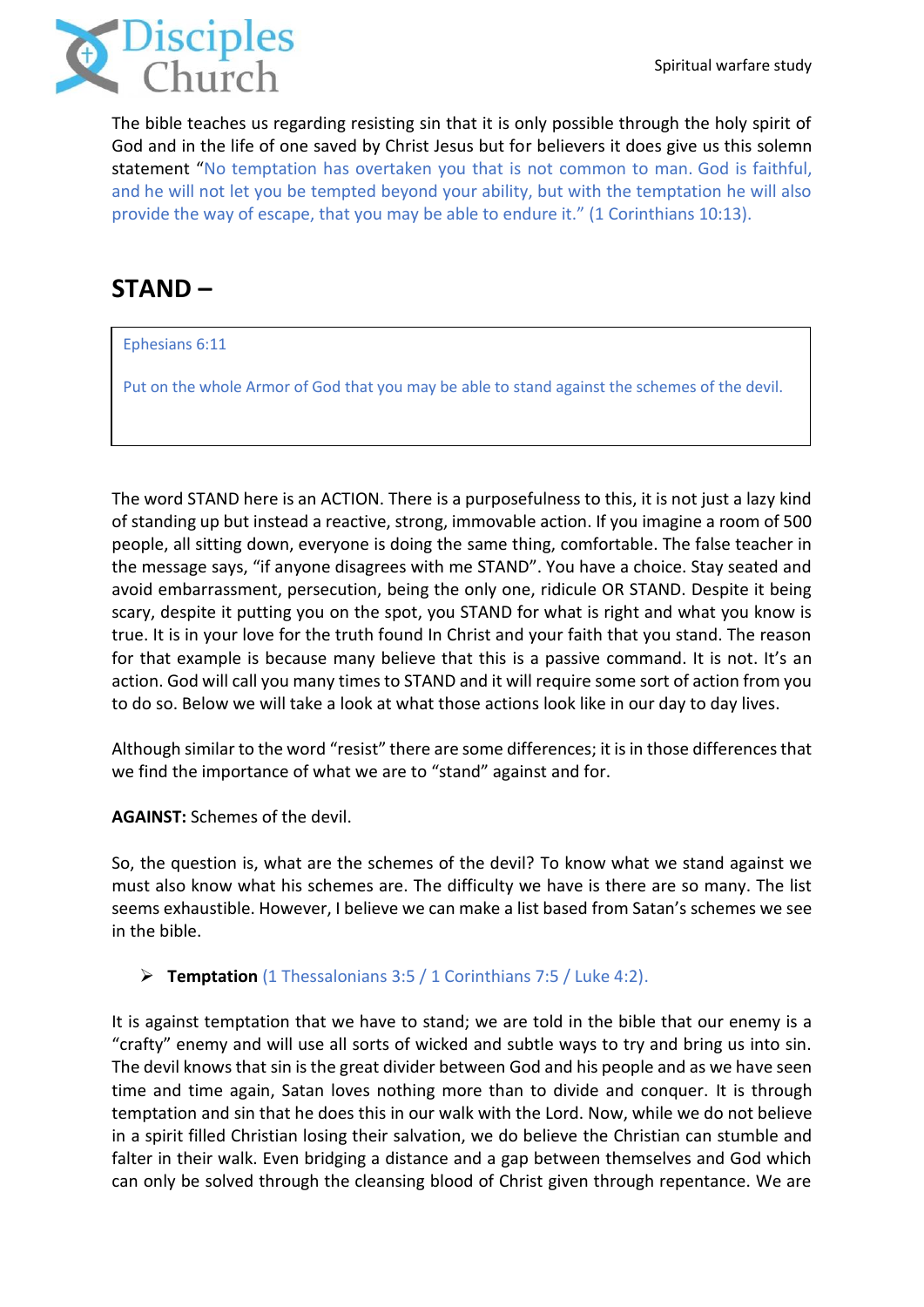

The bible teaches us regarding resisting sin that it is only possible through the holy spirit of God and in the life of one saved by Christ Jesus but for believers it does give us this solemn statement "No temptation has overtaken you that is not common to man. God is faithful, and he will not let you be tempted beyond your ability, but with the temptation he will also provide the way of escape, that you may be able to endure it." (1 Corinthians 10:13).

# **STAND –**

[Ephesians 6:11](https://www.biblegateway.com/passage/?search=Ephesians+6%3A11&version=ESV)

Put on the whole Armor of God that you may be able to stand against the schemes of the devil.

The word STAND here is an ACTION. There is a purposefulness to this, it is not just a lazy kind of standing up but instead a reactive, strong, immovable action. If you imagine a room of 500 people, all sitting down, everyone is doing the same thing, comfortable. The false teacher in the message says, "if anyone disagrees with me STAND". You have a choice. Stay seated and avoid embarrassment, persecution, being the only one, ridicule OR STAND. Despite it being scary, despite it putting you on the spot, you STAND for what is right and what you know is true. It is in your love for the truth found In Christ and your faith that you stand. The reason for that example is because many believe that this is a passive command. It is not. It's an action. God will call you many times to STAND and it will require some sort of action from you to do so. Below we will take a look at what those actions look like in our day to day lives.

Although similar to the word "resist" there are some differences; it is in those differences that we find the importance of what we are to "stand" against and for.

**AGAINST:** Schemes of the devil.

So, the question is, what are the schemes of the devil? To know what we stand against we must also know what his schemes are. The difficulty we have is there are so many. The list seems exhaustible. However, I believe we can make a list based from Satan's schemes we see in the bible.

➢ **Temptation** (1 Thessalonians 3:5 / 1 Corinthians 7:5 / Luke 4:2).

It is against temptation that we have to stand; we are told in the bible that our enemy is a "crafty" enemy and will use all sorts of wicked and subtle ways to try and bring us into sin. The devil knows that sin is the great divider between God and his people and as we have seen time and time again, Satan loves nothing more than to divide and conquer. It is through temptation and sin that he does this in our walk with the Lord. Now, while we do not believe in a spirit filled Christian losing their salvation, we do believe the Christian can stumble and falter in their walk. Even bridging a distance and a gap between themselves and God which can only be solved through the cleansing blood of Christ given through repentance. We are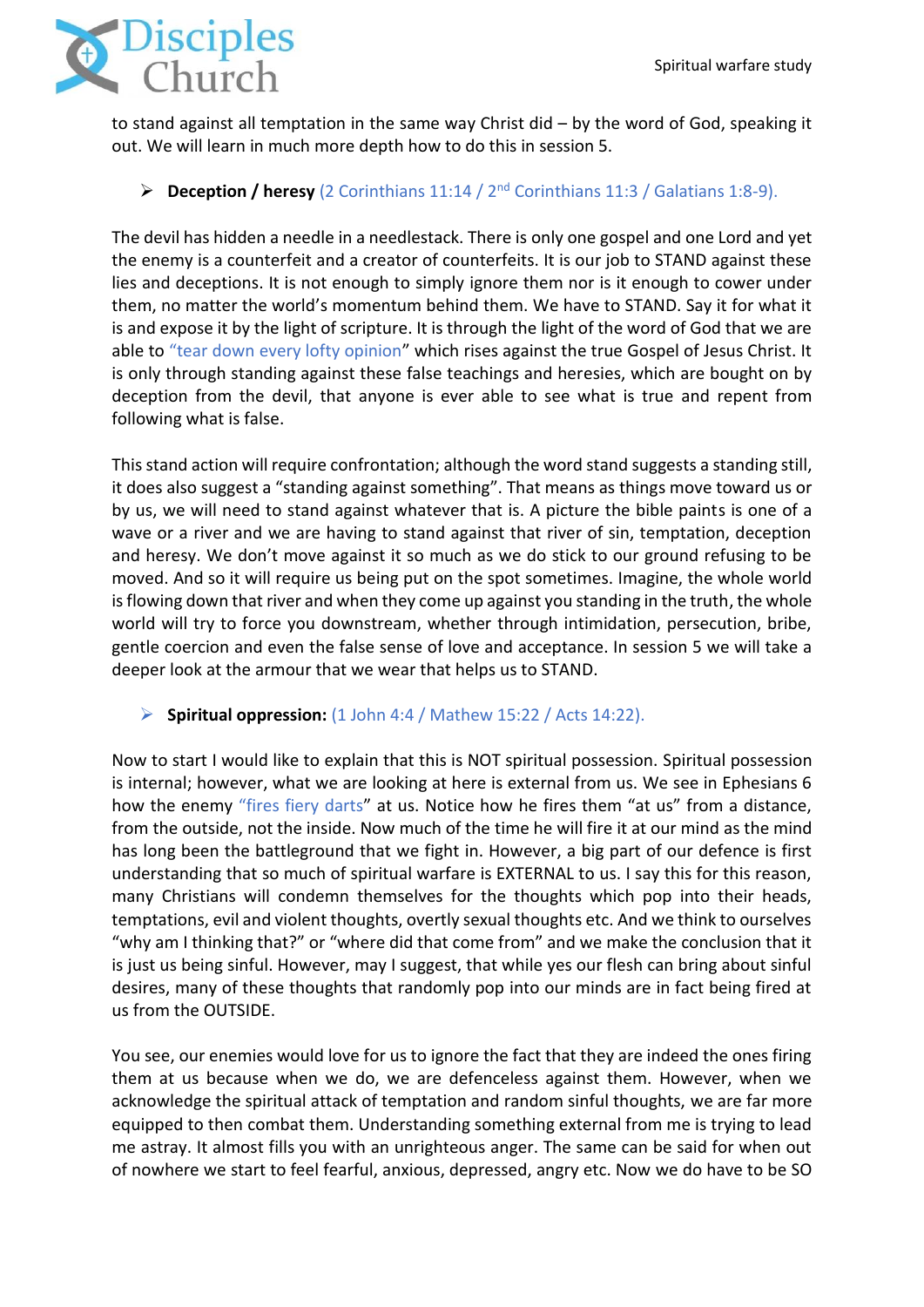

to stand against all temptation in the same way Christ did – by the word of God, speaking it out. We will learn in much more depth how to do this in session 5.

### ➢ **Deception / heresy** (2 Corinthians 11:14 / 2nd Corinthians 11:3 / Galatians 1:8-9).

The devil has hidden a needle in a needlestack. There is only one gospel and one Lord and yet the enemy is a counterfeit and a creator of counterfeits. It is our job to STAND against these lies and deceptions. It is not enough to simply ignore them nor is it enough to cower under them, no matter the world's momentum behind them. We have to STAND. Say it for what it is and expose it by the light of scripture. It is through the light of the word of God that we are able to "tear down every lofty opinion" which rises against the true Gospel of Jesus Christ. It is only through standing against these false teachings and heresies, which are bought on by deception from the devil, that anyone is ever able to see what is true and repent from following what is false.

This stand action will require confrontation; although the word stand suggests a standing still, it does also suggest a "standing against something". That means as things move toward us or by us, we will need to stand against whatever that is. A picture the bible paints is one of a wave or a river and we are having to stand against that river of sin, temptation, deception and heresy. We don't move against it so much as we do stick to our ground refusing to be moved. And so it will require us being put on the spot sometimes. Imagine, the whole world is flowing down that river and when they come up against you standing in the truth, the whole world will try to force you downstream, whether through intimidation, persecution, bribe, gentle coercion and even the false sense of love and acceptance. In session 5 we will take a deeper look at the armour that we wear that helps us to STAND.

### ➢ **Spiritual oppression:** (1 John 4:4 / Mathew 15:22 / Acts 14:22).

Now to start I would like to explain that this is NOT spiritual possession. Spiritual possession is internal; however, what we are looking at here is external from us. We see in Ephesians 6 how the enemy "fires fiery darts" at us. Notice how he fires them "at us" from a distance, from the outside, not the inside. Now much of the time he will fire it at our mind as the mind has long been the battleground that we fight in. However, a big part of our defence is first understanding that so much of spiritual warfare is EXTERNAL to us. I say this for this reason, many Christians will condemn themselves for the thoughts which pop into their heads, temptations, evil and violent thoughts, overtly sexual thoughts etc. And we think to ourselves "why am I thinking that?" or "where did that come from" and we make the conclusion that it is just us being sinful. However, may I suggest, that while yes our flesh can bring about sinful desires, many of these thoughts that randomly pop into our minds are in fact being fired at us from the OUTSIDE.

You see, our enemies would love for us to ignore the fact that they are indeed the ones firing them at us because when we do, we are defenceless against them. However, when we acknowledge the spiritual attack of temptation and random sinful thoughts, we are far more equipped to then combat them. Understanding something external from me is trying to lead me astray. It almost fills you with an unrighteous anger. The same can be said for when out of nowhere we start to feel fearful, anxious, depressed, angry etc. Now we do have to be SO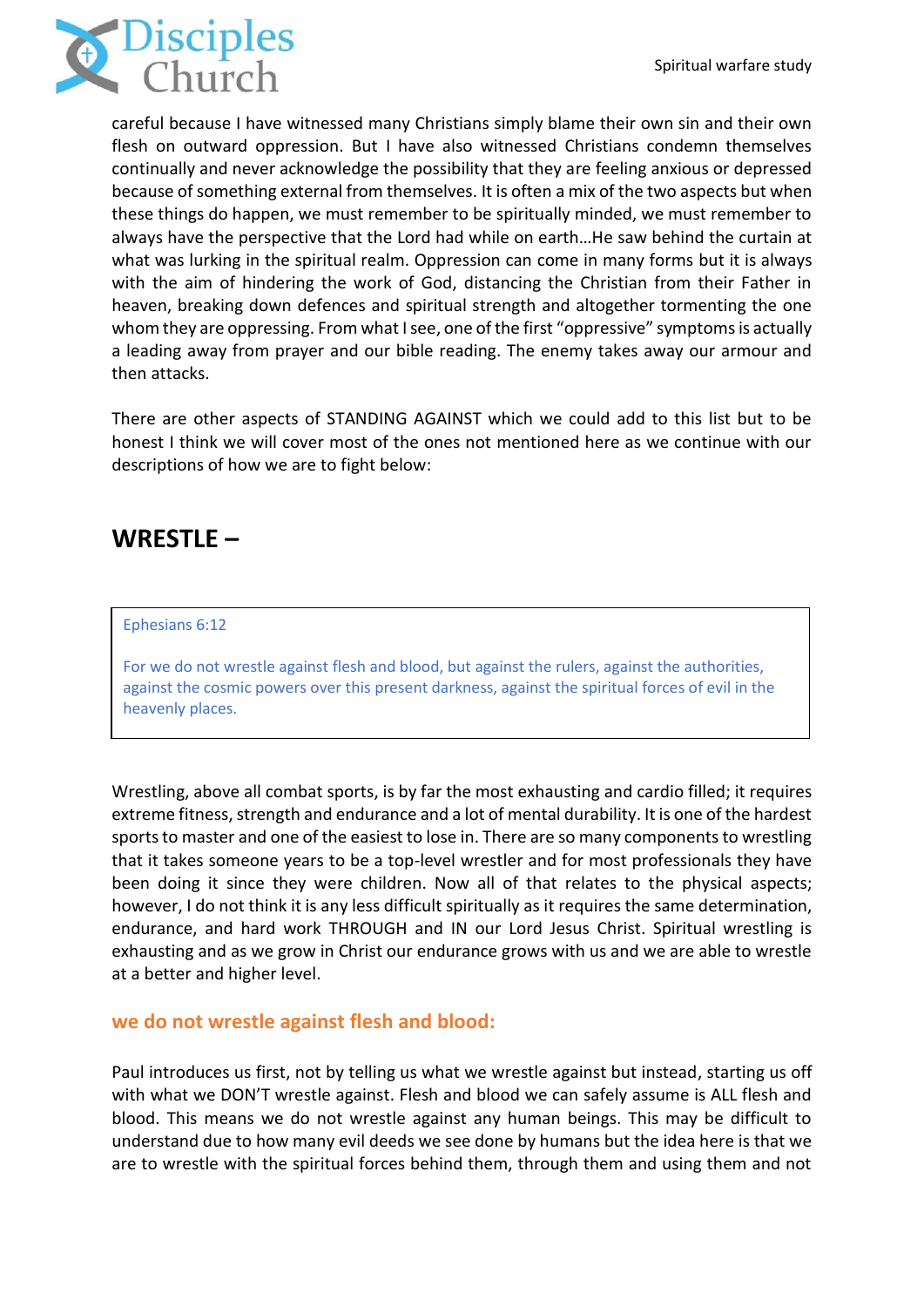

careful because I have witnessed many Christians simply blame their own sin and their own flesh on outward oppression. But I have also witnessed Christians condemn themselves continually and never acknowledge the possibility that they are feeling anxious or depressed because of something external from themselves. It is often a mix of the two aspects but when these things do happen, we must remember to be spiritually minded, we must remember to always have the perspective that the Lord had while on earth…He saw behind the curtain at what was lurking in the spiritual realm. Oppression can come in many forms but it is always with the aim of hindering the work of God, distancing the Christian from their Father in heaven, breaking down defences and spiritual strength and altogether tormenting the one whom they are oppressing. From what I see, one of the first "oppressive" symptoms is actually a leading away from prayer and our bible reading. The enemy takes away our armour and then attacks.

There are other aspects of STANDING AGAINST which we could add to this list but to be honest I think we will cover most of the ones not mentioned here as we continue with our descriptions of how we are to fight below:

## **WRESTLE –**

#### [Ephesians 6:12](https://www.biblegateway.com/passage/?search=Ephesians+6%3A12&version=ESV)

For we do not wrestle against flesh and blood, but against the rulers, against the authorities, against the cosmic powers over this present darkness, against the spiritual forces of evil in the heavenly places.

Wrestling, above all combat sports, is by far the most exhausting and cardio filled; it requires extreme fitness, strength and endurance and a lot of mental durability. It is one of the hardest sports to master and one of the easiest to lose in. There are so many components to wrestling that it takes someone years to be a top-level wrestler and for most professionals they have been doing it since they were children. Now all of that relates to the physical aspects; however, I do not think it is any less difficult spiritually as it requires the same determination, endurance, and hard work THROUGH and IN our Lord Jesus Christ. Spiritual wrestling is exhausting and as we grow in Christ our endurance grows with us and we are able to wrestle at a better and higher level.

#### **we do not wrestle against flesh and blood:**

Paul introduces us first, not by telling us what we wrestle against but instead, starting us off with what we DON'T wrestle against. Flesh and blood we can safely assume is ALL flesh and blood. This means we do not wrestle against any human beings. This may be difficult to understand due to how many evil deeds we see done by humans but the idea here is that we are to wrestle with the spiritual forces behind them, through them and using them and not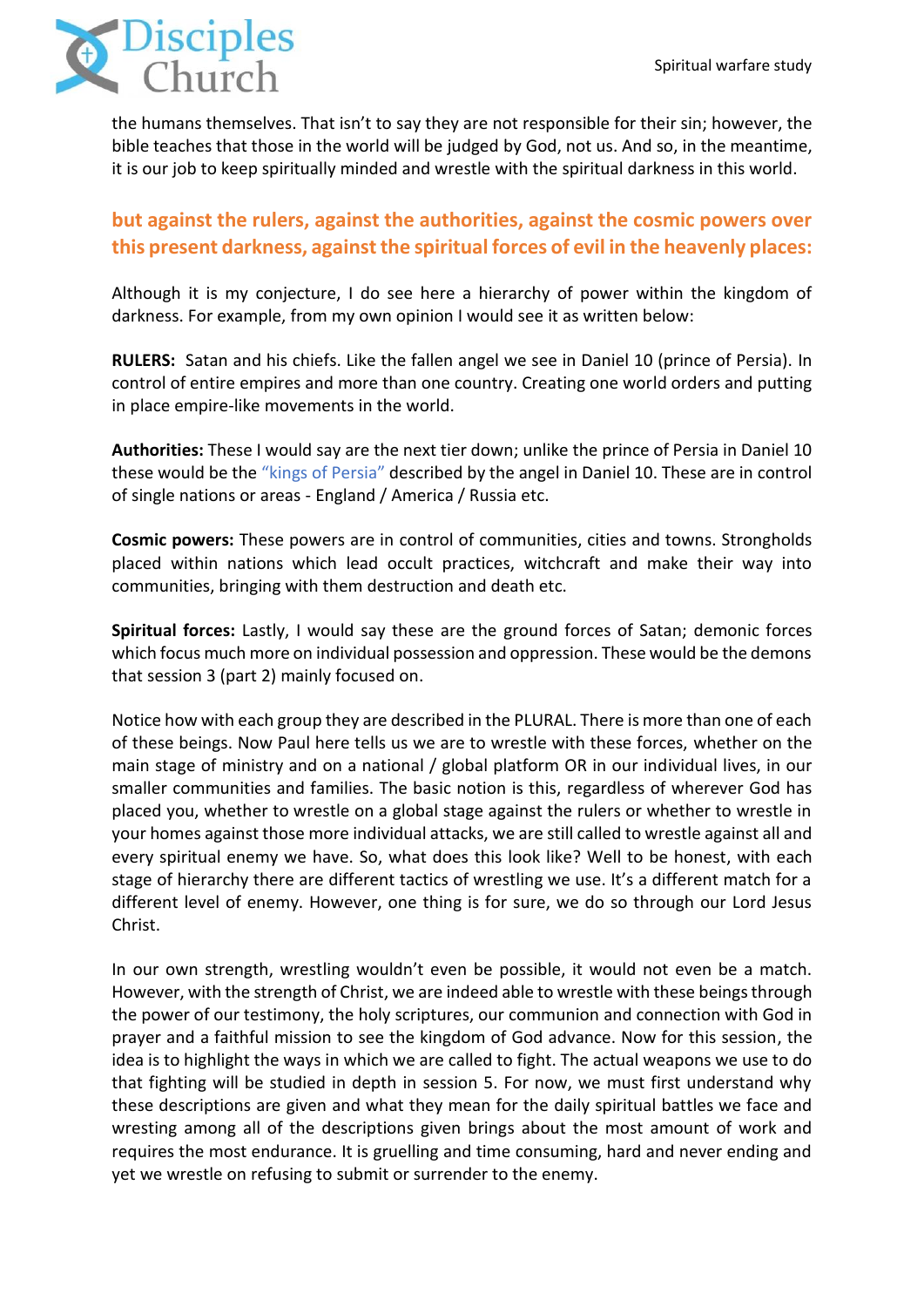

the humans themselves. That isn't to say they are not responsible for their sin; however, the bible teaches that those in the world will be judged by God, not us. And so, in the meantime, it is our job to keep spiritually minded and wrestle with the spiritual darkness in this world.

## **but against the rulers, against the authorities, against the cosmic powers over this present darkness, against the spiritual forces of evil in the heavenly places:**

Although it is my conjecture, I do see here a hierarchy of power within the kingdom of darkness. For example, from my own opinion I would see it as written below:

**RULERS:** Satan and his chiefs. Like the fallen angel we see in Daniel 10 (prince of Persia). In control of entire empires and more than one country. Creating one world orders and putting in place empire-like movements in the world.

**Authorities:** These I would say are the next tier down; unlike the prince of Persia in Daniel 10 these would be the "kings of Persia" described by the angel in Daniel 10. These are in control of single nations or areas - England / America / Russia etc.

**Cosmic powers:** These powers are in control of communities, cities and towns. Strongholds placed within nations which lead occult practices, witchcraft and make their way into communities, bringing with them destruction and death etc.

**Spiritual forces:** Lastly, I would say these are the ground forces of Satan; demonic forces which focus much more on individual possession and oppression. These would be the demons that session 3 (part 2) mainly focused on.

Notice how with each group they are described in the PLURAL. There is more than one of each of these beings. Now Paul here tells us we are to wrestle with these forces, whether on the main stage of ministry and on a national / global platform OR in our individual lives, in our smaller communities and families. The basic notion is this, regardless of wherever God has placed you, whether to wrestle on a global stage against the rulers or whether to wrestle in your homes against those more individual attacks, we are still called to wrestle against all and every spiritual enemy we have. So, what does this look like? Well to be honest, with each stage of hierarchy there are different tactics of wrestling we use. It's a different match for a different level of enemy. However, one thing is for sure, we do so through our Lord Jesus Christ.

In our own strength, wrestling wouldn't even be possible, it would not even be a match. However, with the strength of Christ, we are indeed able to wrestle with these beings through the power of our testimony, the holy scriptures, our communion and connection with God in prayer and a faithful mission to see the kingdom of God advance. Now for this session, the idea is to highlight the ways in which we are called to fight. The actual weapons we use to do that fighting will be studied in depth in session 5. For now, we must first understand why these descriptions are given and what they mean for the daily spiritual battles we face and wresting among all of the descriptions given brings about the most amount of work and requires the most endurance. It is gruelling and time consuming, hard and never ending and yet we wrestle on refusing to submit or surrender to the enemy.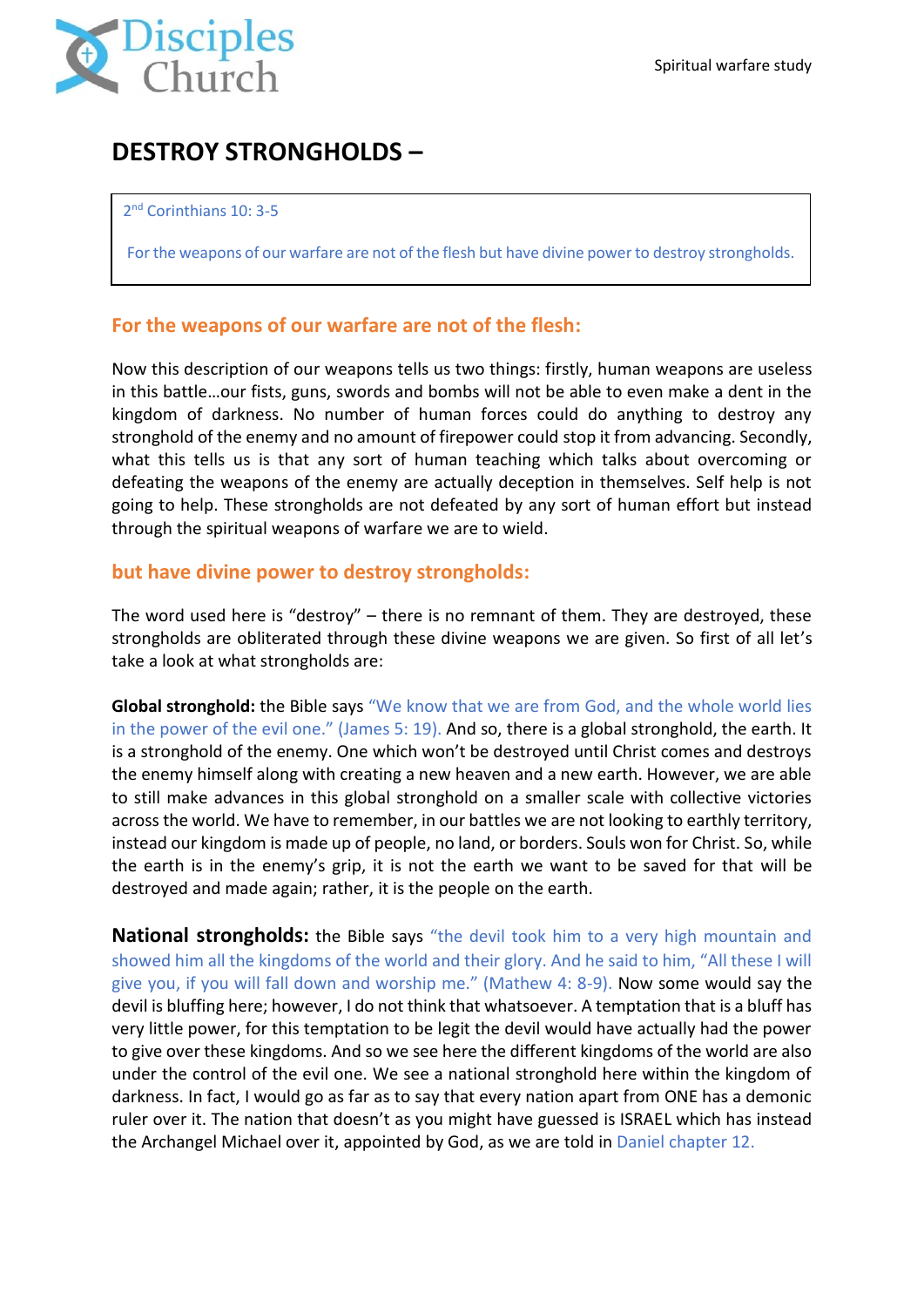

# **DESTROY STRONGHOLDS –**

#### 2<sup>nd</sup> Corinthians 10: 3-5

For the weapons of our warfare are not of the flesh but have divine power to destroy strongholds.

### **For the weapons of our warfare are not of the flesh:**

Now this description of our weapons tells us two things: firstly, human weapons are useless in this battle…our fists, guns, swords and bombs will not be able to even make a dent in the kingdom of darkness. No number of human forces could do anything to destroy any stronghold of the enemy and no amount of firepower could stop it from advancing. Secondly, what this tells us is that any sort of human teaching which talks about overcoming or defeating the weapons of the enemy are actually deception in themselves. Self help is not going to help. These strongholds are not defeated by any sort of human effort but instead through the spiritual weapons of warfare we are to wield.

### **but have divine power to destroy strongholds:**

The word used here is "destroy" – there is no remnant of them. They are destroyed, these strongholds are obliterated through these divine weapons we are given. So first of all let's take a look at what strongholds are:

**Global stronghold:** the Bible says "We know that we are from God, and the whole world lies in the power of the evil one." (James 5: 19). And so, there is a global stronghold, the earth. It is a stronghold of the enemy. One which won't be destroyed until Christ comes and destroys the enemy himself along with creating a new heaven and a new earth. However, we are able to still make advances in this global stronghold on a smaller scale with collective victories across the world. We have to remember, in our battles we are not looking to earthly territory, instead our kingdom is made up of people, no land, or borders. Souls won for Christ. So, while the earth is in the enemy's grip, it is not the earth we want to be saved for that will be destroyed and made again; rather, it is the people on the earth.

**National strongholds:** the Bible says "the devil took him to a very high mountain and showed him all the kingdoms of the world and their glory. And he said to him, "All these I will give you, if you will fall down and worship me." (Mathew 4: 8-9). Now some would say the devil is bluffing here; however, I do not think that whatsoever. A temptation that is a bluff has very little power, for this temptation to be legit the devil would have actually had the power to give over these kingdoms. And so we see here the different kingdoms of the world are also under the control of the evil one. We see a national stronghold here within the kingdom of darkness. In fact, I would go as far as to say that every nation apart from ONE has a demonic ruler over it. The nation that doesn't as you might have guessed is ISRAEL which has instead the Archangel Michael over it, appointed by God, as we are told in Daniel chapter 12.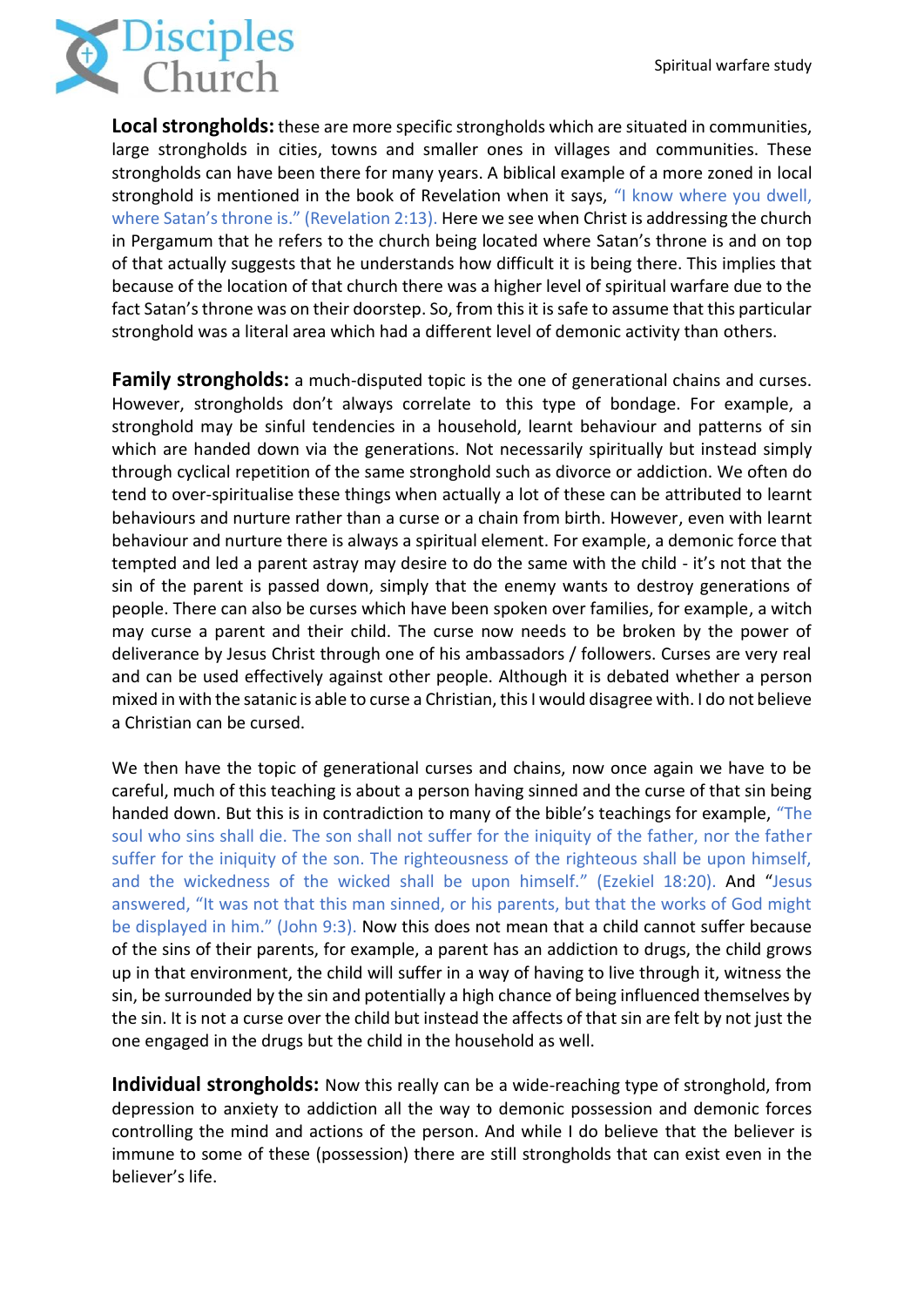

**Local strongholds:** these are more specific strongholds which are situated in communities, large strongholds in cities, towns and smaller ones in villages and communities. These strongholds can have been there for many years. A biblical example of a more zoned in local stronghold is mentioned in the book of Revelation when it says, "I know where you dwell, where Satan's throne is." (Revelation 2:13). Here we see when Christ is addressing the church in Pergamum that he refers to the church being located where Satan's throne is and on top of that actually suggests that he understands how difficult it is being there. This implies that because of the location of that church there was a higher level of spiritual warfare due to the fact Satan's throne was on their doorstep. So, from this it is safe to assume that this particular stronghold was a literal area which had a different level of demonic activity than others.

**Family strongholds:** a much-disputed topic is the one of generational chains and curses. However, strongholds don't always correlate to this type of bondage. For example, a stronghold may be sinful tendencies in a household, learnt behaviour and patterns of sin which are handed down via the generations. Not necessarily spiritually but instead simply through cyclical repetition of the same stronghold such as divorce or addiction. We often do tend to over-spiritualise these things when actually a lot of these can be attributed to learnt behaviours and nurture rather than a curse or a chain from birth. However, even with learnt behaviour and nurture there is always a spiritual element. For example, a demonic force that tempted and led a parent astray may desire to do the same with the child - it's not that the sin of the parent is passed down, simply that the enemy wants to destroy generations of people. There can also be curses which have been spoken over families, for example, a witch may curse a parent and their child. The curse now needs to be broken by the power of deliverance by Jesus Christ through one of his ambassadors / followers. Curses are very real and can be used effectively against other people. Although it is debated whether a person mixed in with the satanic is able to curse a Christian, this I would disagree with. I do not believe a Christian can be cursed.

We then have the topic of generational curses and chains, now once again we have to be careful, much of this teaching is about a person having sinned and the curse of that sin being handed down. But this is in contradiction to many of the bible's teachings for example, "The soul who sins shall die. The son shall not suffer for the iniquity of the father, nor the father suffer for the iniquity of the son. The righteousness of the righteous shall be upon himself, and the wickedness of the wicked shall be upon himself." (Ezekiel 18:20). And "Jesus answered, "It was not that this man sinned, or his parents, but that the works of God might be displayed in him." (John 9:3). Now this does not mean that a child cannot suffer because of the sins of their parents, for example, a parent has an addiction to drugs, the child grows up in that environment, the child will suffer in a way of having to live through it, witness the sin, be surrounded by the sin and potentially a high chance of being influenced themselves by the sin. It is not a curse over the child but instead the affects of that sin are felt by not just the one engaged in the drugs but the child in the household as well.

**Individual strongholds:** Now this really can be a wide-reaching type of stronghold, from depression to anxiety to addiction all the way to demonic possession and demonic forces controlling the mind and actions of the person. And while I do believe that the believer is immune to some of these (possession) there are still strongholds that can exist even in the believer's life.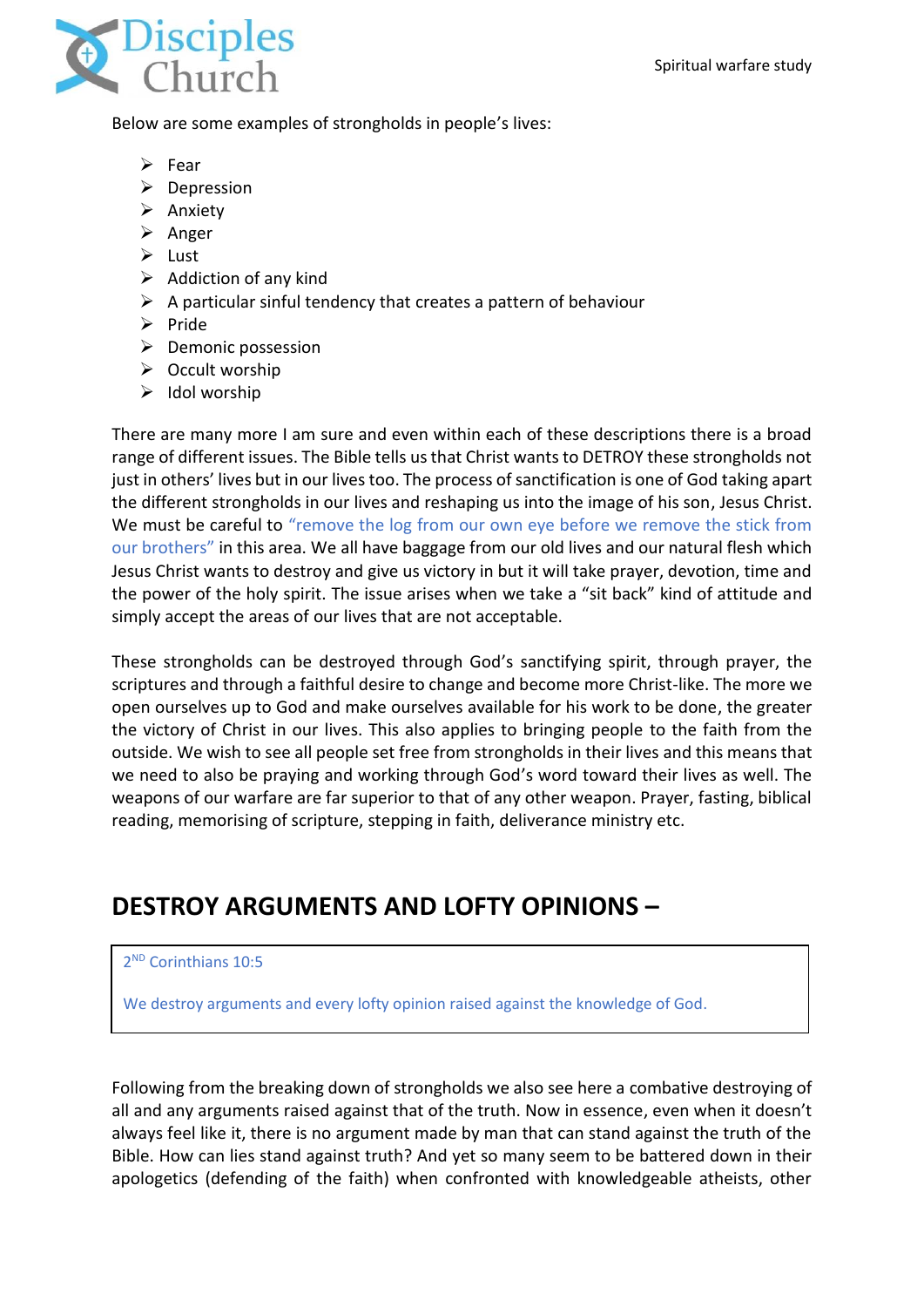

Below are some examples of strongholds in people's lives:

- ➢ Fear
- ➢ Depression
- ➢ Anxiety
- ➢ Anger
- ➢ Lust
- $\triangleright$  Addiction of any kind
- $\triangleright$  A particular sinful tendency that creates a pattern of behaviour
- ➢ Pride
- ➢ Demonic possession
- ➢ Occult worship
- $\triangleright$  Idol worship

There are many more I am sure and even within each of these descriptions there is a broad range of different issues. The Bible tells us that Christ wants to DETROY these strongholds not just in others' lives but in our lives too. The process of sanctification is one of God taking apart the different strongholds in our lives and reshaping us into the image of his son, Jesus Christ. We must be careful to "remove the log from our own eye before we remove the stick from our brothers" in this area. We all have baggage from our old lives and our natural flesh which Jesus Christ wants to destroy and give us victory in but it will take prayer, devotion, time and the power of the holy spirit. The issue arises when we take a "sit back" kind of attitude and simply accept the areas of our lives that are not acceptable.

These strongholds can be destroyed through God's sanctifying spirit, through prayer, the scriptures and through a faithful desire to change and become more Christ-like. The more we open ourselves up to God and make ourselves available for his work to be done, the greater the victory of Christ in our lives. This also applies to bringing people to the faith from the outside. We wish to see all people set free from strongholds in their lives and this means that we need to also be praying and working through God's word toward their lives as well. The weapons of our warfare are far superior to that of any other weapon. Prayer, fasting, biblical reading, memorising of scripture, stepping in faith, deliverance ministry etc.

# **DESTROY ARGUMENTS AND LOFTY OPINIONS –**

### 2 ND Corinthians 10:5

We destroy arguments and every lofty opinion raised against the knowledge of God.

Following from the breaking down of strongholds we also see here a combative destroying of all and any arguments raised against that of the truth. Now in essence, even when it doesn't always feel like it, there is no argument made by man that can stand against the truth of the Bible. How can lies stand against truth? And yet so many seem to be battered down in their apologetics (defending of the faith) when confronted with knowledgeable atheists, other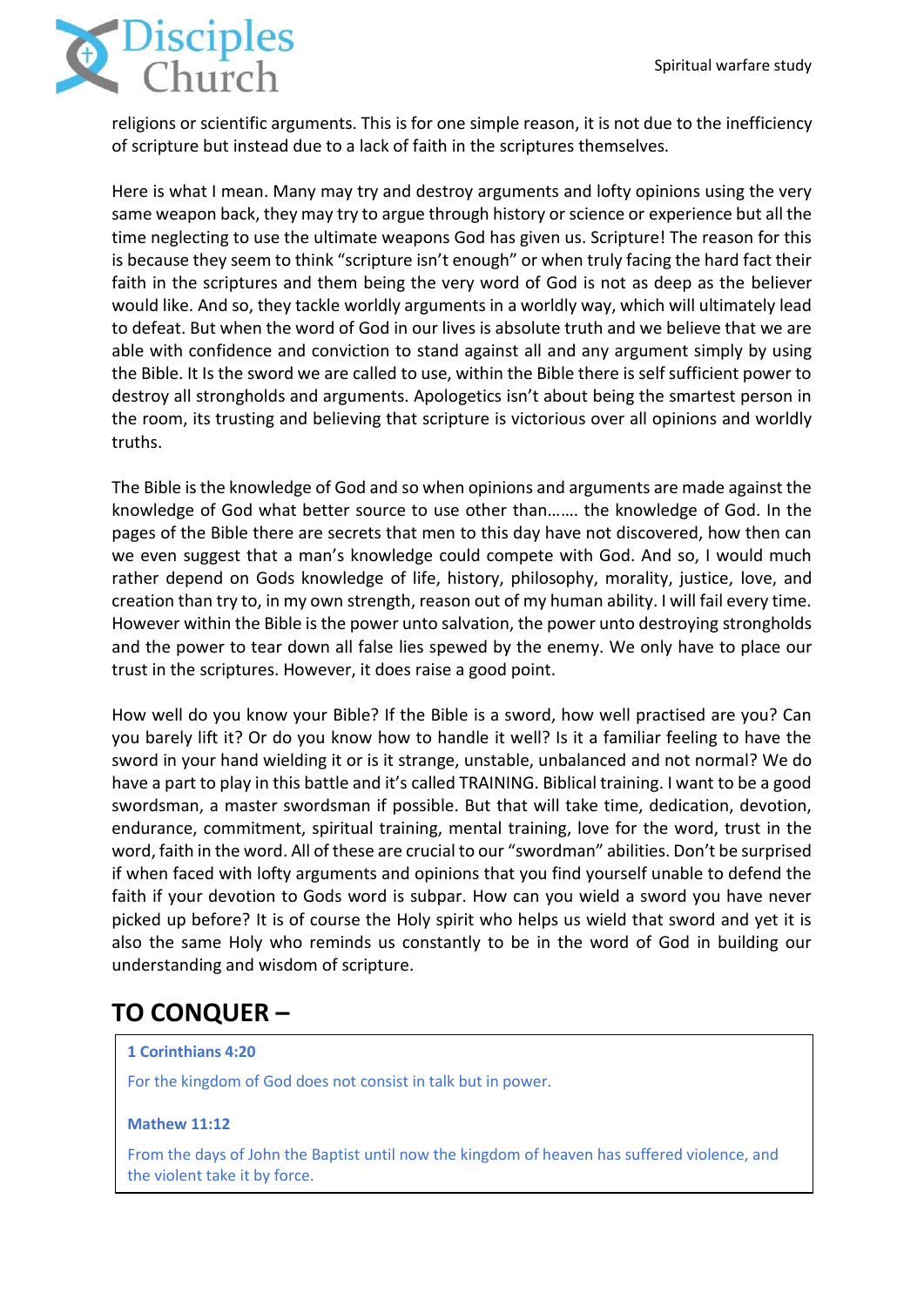

religions or scientific arguments. This is for one simple reason, it is not due to the inefficiency of scripture but instead due to a lack of faith in the scriptures themselves.

Here is what I mean. Many may try and destroy arguments and lofty opinions using the very same weapon back, they may try to argue through history or science or experience but all the time neglecting to use the ultimate weapons God has given us. Scripture! The reason for this is because they seem to think "scripture isn't enough" or when truly facing the hard fact their faith in the scriptures and them being the very word of God is not as deep as the believer would like. And so, they tackle worldly arguments in a worldly way, which will ultimately lead to defeat. But when the word of God in our lives is absolute truth and we believe that we are able with confidence and conviction to stand against all and any argument simply by using the Bible. It Is the sword we are called to use, within the Bible there is self sufficient power to destroy all strongholds and arguments. Apologetics isn't about being the smartest person in the room, its trusting and believing that scripture is victorious over all opinions and worldly truths.

The Bible is the knowledge of God and so when opinions and arguments are made against the knowledge of God what better source to use other than……. the knowledge of God. In the pages of the Bible there are secrets that men to this day have not discovered, how then can we even suggest that a man's knowledge could compete with God. And so, I would much rather depend on Gods knowledge of life, history, philosophy, morality, justice, love, and creation than try to, in my own strength, reason out of my human ability. I will fail every time. However within the Bible is the power unto salvation, the power unto destroying strongholds and the power to tear down all false lies spewed by the enemy. We only have to place our trust in the scriptures. However, it does raise a good point.

How well do you know your Bible? If the Bible is a sword, how well practised are you? Can you barely lift it? Or do you know how to handle it well? Is it a familiar feeling to have the sword in your hand wielding it or is it strange, unstable, unbalanced and not normal? We do have a part to play in this battle and it's called TRAINING. Biblical training. I want to be a good swordsman, a master swordsman if possible. But that will take time, dedication, devotion, endurance, commitment, spiritual training, mental training, love for the word, trust in the word, faith in the word. All of these are crucial to our "swordman" abilities. Don't be surprised if when faced with lofty arguments and opinions that you find yourself unable to defend the faith if your devotion to Gods word is subpar. How can you wield a sword you have never picked up before? It is of course the Holy spirit who helps us wield that sword and yet it is also the same Holy who reminds us constantly to be in the word of God in building our understanding and wisdom of scripture.

# **TO CONQUER –**

#### **[1 Corinthians 4:20](https://www.biblegateway.com/passage/?search=1+Corinthians+4%3A20&version=ESV)**

For the kingdom of God does not consist in talk but in power.

#### **Mathew 11:12**

From the days of John the Baptist until now the kingdom of heaven has suffered violence, and the violent take it by force.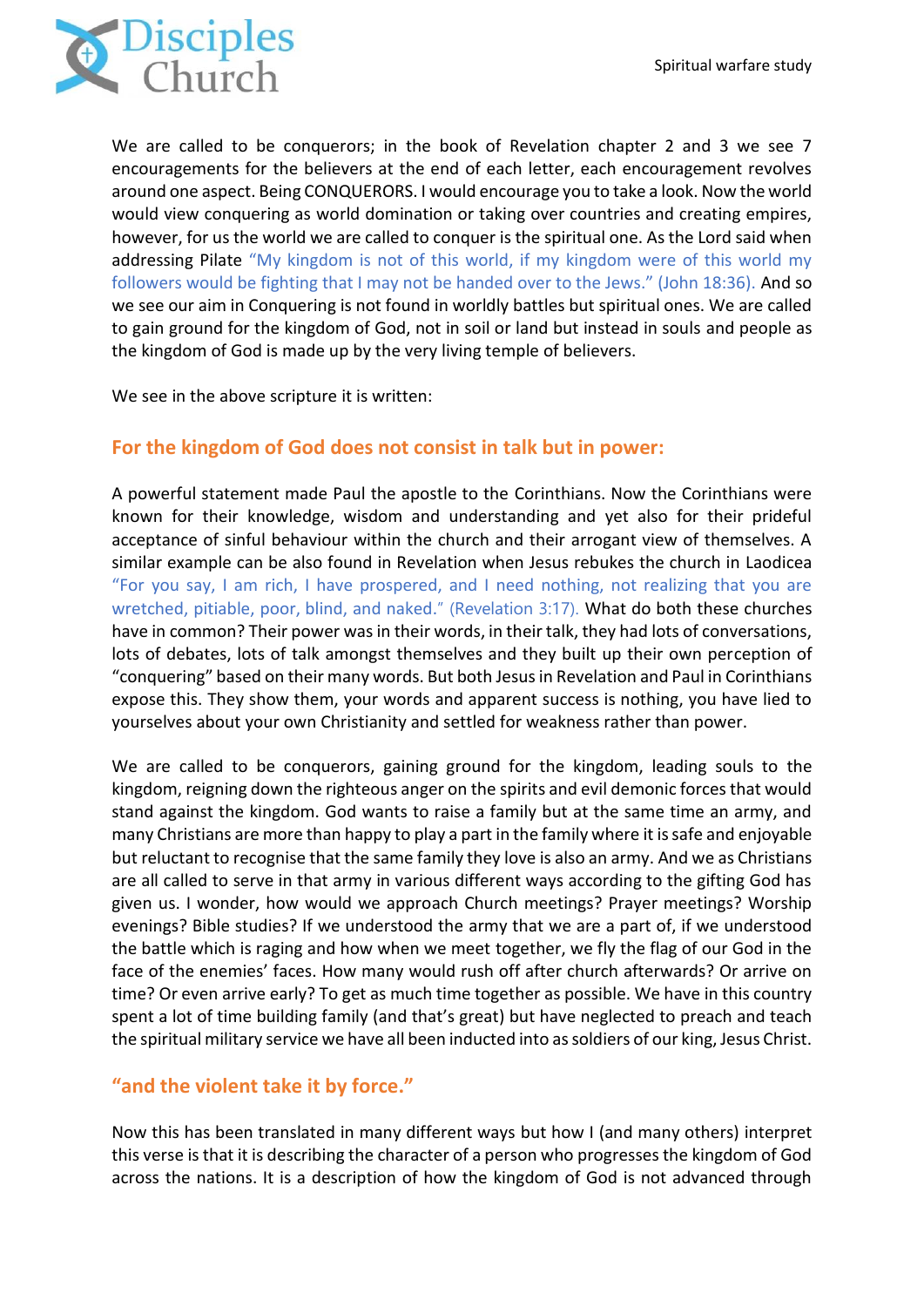

We are called to be conquerors; in the book of Revelation chapter 2 and 3 we see 7 encouragements for the believers at the end of each letter, each encouragement revolves around one aspect. Being CONQUERORS. I would encourage you to take a look. Now the world would view conquering as world domination or taking over countries and creating empires, however, for us the world we are called to conquer is the spiritual one. As the Lord said when addressing Pilate "My kingdom is not of this world, if my kingdom were of this world my followers would be fighting that I may not be handed over to the Jews." (John 18:36). And so we see our aim in Conquering is not found in worldly battles but spiritual ones. We are called to gain ground for the kingdom of God, not in soil or land but instead in souls and people as the kingdom of God is made up by the very living temple of believers.

We see in the above scripture it is written:

### **For the kingdom of God does not consist in talk but in power:**

A powerful statement made Paul the apostle to the Corinthians. Now the Corinthians were known for their knowledge, wisdom and understanding and yet also for their prideful acceptance of sinful behaviour within the church and their arrogant view of themselves. A similar example can be also found in Revelation when Jesus rebukes the church in Laodicea "For you say, I am rich, I have prospered, and I need nothing, not realizing that you are wretched, pitiable, poor, blind, and naked." (Revelation 3:17). What do both these churches have in common? Their power was in their words, in their talk, they had lots of conversations, lots of debates, lots of talk amongst themselves and they built up their own perception of "conquering" based on their many words. But both Jesus in Revelation and Paul in Corinthians expose this. They show them, your words and apparent success is nothing, you have lied to yourselves about your own Christianity and settled for weakness rather than power.

We are called to be conquerors, gaining ground for the kingdom, leading souls to the kingdom, reigning down the righteous anger on the spirits and evil demonic forces that would stand against the kingdom. God wants to raise a family but at the same time an army, and many Christians are more than happy to play a part in the family where it is safe and enjoyable but reluctant to recognise that the same family they love is also an army. And we as Christians are all called to serve in that army in various different ways according to the gifting God has given us. I wonder, how would we approach Church meetings? Prayer meetings? Worship evenings? Bible studies? If we understood the army that we are a part of, if we understood the battle which is raging and how when we meet together, we fly the flag of our God in the face of the enemies' faces. How many would rush off after church afterwards? Or arrive on time? Or even arrive early? To get as much time together as possible. We have in this country spent a lot of time building family (and that's great) but have neglected to preach and teach the spiritual military service we have all been inducted into as soldiers of our king, Jesus Christ.

## **"and the violent take it by force."**

Now this has been translated in many different ways but how I (and many others) interpret this verse is that it is describing the character of a person who progresses the kingdom of God across the nations. It is a description of how the kingdom of God is not advanced through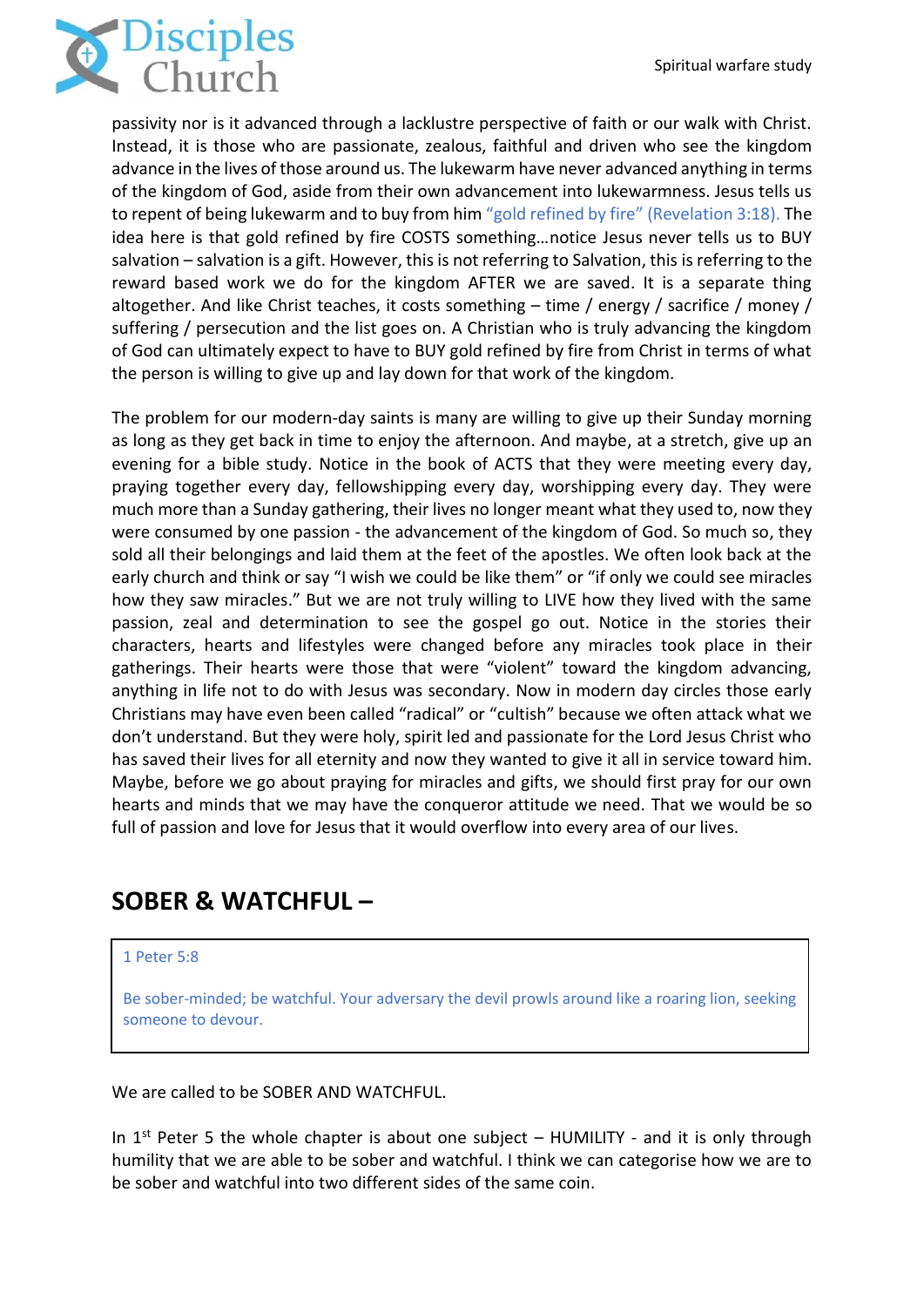

passivity nor is it advanced through a lacklustre perspective of faith or our walk with Christ. Instead, it is those who are passionate, zealous, faithful and driven who see the kingdom advance in the lives of those around us. The lukewarm have never advanced anything in terms of the kingdom of God, aside from their own advancement into lukewarmness. Jesus tells us to repent of being lukewarm and to buy from him "gold refined by fire" (Revelation 3:18). The idea here is that gold refined by fire COSTS something…notice Jesus never tells us to BUY salvation – salvation is a gift. However, this is not referring to Salvation, this is referring to the reward based work we do for the kingdom AFTER we are saved. It is a separate thing altogether. And like Christ teaches, it costs something – time / energy / sacrifice / money / suffering / persecution and the list goes on. A Christian who is truly advancing the kingdom of God can ultimately expect to have to BUY gold refined by fire from Christ in terms of what the person is willing to give up and lay down for that work of the kingdom.

The problem for our modern-day saints is many are willing to give up their Sunday morning as long as they get back in time to enjoy the afternoon. And maybe, at a stretch, give up an evening for a bible study. Notice in the book of ACTS that they were meeting every day, praying together every day, fellowshipping every day, worshipping every day. They were much more than a Sunday gathering, their lives no longer meant what they used to, now they were consumed by one passion - the advancement of the kingdom of God. So much so, they sold all their belongings and laid them at the feet of the apostles. We often look back at the early church and think or say "I wish we could be like them" or "if only we could see miracles how they saw miracles." But we are not truly willing to LIVE how they lived with the same passion, zeal and determination to see the gospel go out. Notice in the stories their characters, hearts and lifestyles were changed before any miracles took place in their gatherings. Their hearts were those that were "violent" toward the kingdom advancing, anything in life not to do with Jesus was secondary. Now in modern day circles those early Christians may have even been called "radical" or "cultish" because we often attack what we don't understand. But they were holy, spirit led and passionate for the Lord Jesus Christ who has saved their lives for all eternity and now they wanted to give it all in service toward him. Maybe, before we go about praying for miracles and gifts, we should first pray for our own hearts and minds that we may have the conqueror attitude we need. That we would be so full of passion and love for Jesus that it would overflow into every area of our lives.

# **SOBER & WATCHFUL –**

#### [1 Peter 5:8](https://www.biblegateway.com/passage/?search=1+Peter+5%3A8&version=ESV)

Be sober-minded; be watchful. Your adversary the devil prowls around like a roaring lion, seeking someone to devour.

We are called to be SOBER AND WATCHFUL.

In  $1<sup>st</sup>$  Peter 5 the whole chapter is about one subject – HUMILITY - and it is only through humility that we are able to be sober and watchful. I think we can categorise how we are to be sober and watchful into two different sides of the same coin.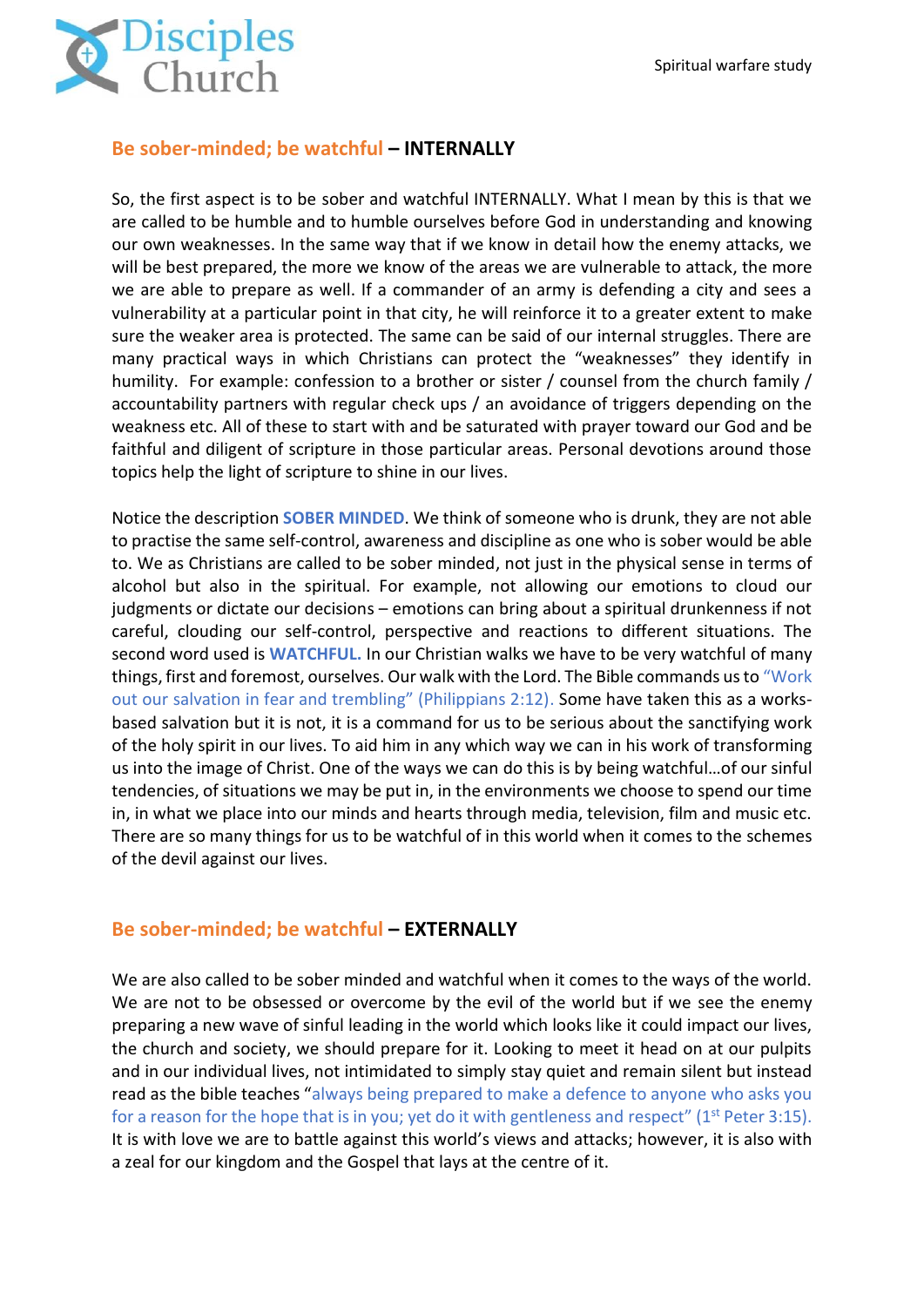

### **Be sober-minded; be watchful – INTERNALLY**

So, the first aspect is to be sober and watchful INTERNALLY. What I mean by this is that we are called to be humble and to humble ourselves before God in understanding and knowing our own weaknesses. In the same way that if we know in detail how the enemy attacks, we will be best prepared, the more we know of the areas we are vulnerable to attack, the more we are able to prepare as well. If a commander of an army is defending a city and sees a vulnerability at a particular point in that city, he will reinforce it to a greater extent to make sure the weaker area is protected. The same can be said of our internal struggles. There are many practical ways in which Christians can protect the "weaknesses" they identify in humility. For example: confession to a brother or sister / counsel from the church family / accountability partners with regular check ups / an avoidance of triggers depending on the weakness etc. All of these to start with and be saturated with prayer toward our God and be faithful and diligent of scripture in those particular areas. Personal devotions around those topics help the light of scripture to shine in our lives.

Notice the description **SOBER MINDED**. We think of someone who is drunk, they are not able to practise the same self-control, awareness and discipline as one who is sober would be able to. We as Christians are called to be sober minded, not just in the physical sense in terms of alcohol but also in the spiritual. For example, not allowing our emotions to cloud our judgments or dictate our decisions – emotions can bring about a spiritual drunkenness if not careful, clouding our self-control, perspective and reactions to different situations. The second word used is **WATCHFUL.** In our Christian walks we have to be very watchful of many things, first and foremost, ourselves. Our walk with the Lord. The Bible commands us to "Work out our salvation in fear and trembling" (Philippians 2:12). Some have taken this as a worksbased salvation but it is not, it is a command for us to be serious about the sanctifying work of the holy spirit in our lives. To aid him in any which way we can in his work of transforming us into the image of Christ. One of the ways we can do this is by being watchful…of our sinful tendencies, of situations we may be put in, in the environments we choose to spend our time in, in what we place into our minds and hearts through media, television, film and music etc. There are so many things for us to be watchful of in this world when it comes to the schemes of the devil against our lives.

### **Be sober-minded; be watchful – EXTERNALLY**

We are also called to be sober minded and watchful when it comes to the ways of the world. We are not to be obsessed or overcome by the evil of the world but if we see the enemy preparing a new wave of sinful leading in the world which looks like it could impact our lives, the church and society, we should prepare for it. Looking to meet it head on at our pulpits and in our individual lives, not intimidated to simply stay quiet and remain silent but instead read as the bible teaches "always being prepared to make a defence to anyone who asks you for a reason for the hope that is in you; yet do it with gentleness and respect" ( $1<sup>st</sup>$  Peter 3:15). It is with love we are to battle against this world's views and attacks; however, it is also with a zeal for our kingdom and the Gospel that lays at the centre of it.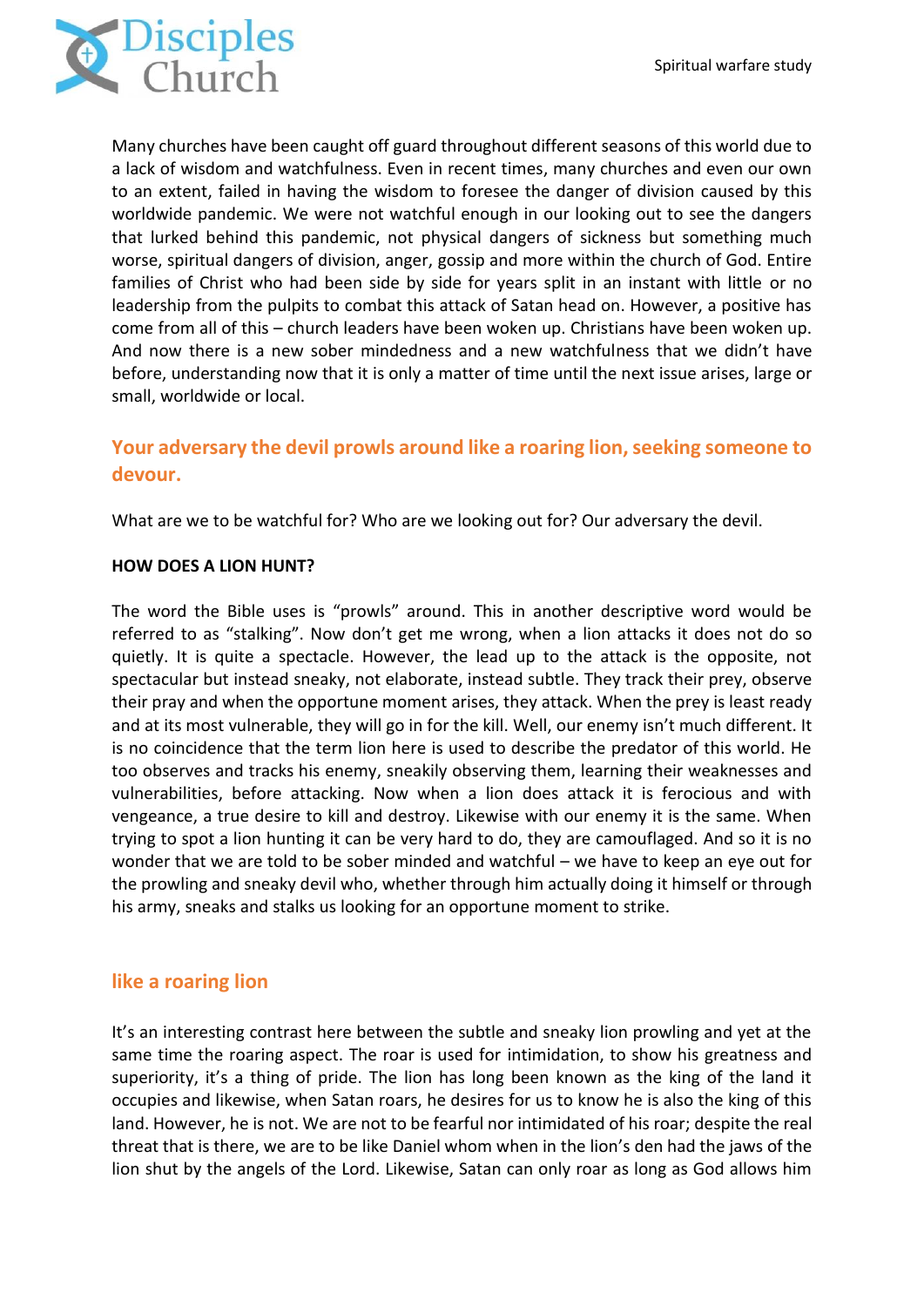

Many churches have been caught off guard throughout different seasons of this world due to a lack of wisdom and watchfulness. Even in recent times, many churches and even our own to an extent, failed in having the wisdom to foresee the danger of division caused by this worldwide pandemic. We were not watchful enough in our looking out to see the dangers that lurked behind this pandemic, not physical dangers of sickness but something much worse, spiritual dangers of division, anger, gossip and more within the church of God. Entire families of Christ who had been side by side for years split in an instant with little or no leadership from the pulpits to combat this attack of Satan head on. However, a positive has come from all of this – church leaders have been woken up. Christians have been woken up. And now there is a new sober mindedness and a new watchfulness that we didn't have before, understanding now that it is only a matter of time until the next issue arises, large or small, worldwide or local.

## **Your adversary the devil prowls around like a roaring lion, seeking someone to devour.**

What are we to be watchful for? Who are we looking out for? Our adversary the devil.

#### **HOW DOES A LION HUNT?**

The word the Bible uses is "prowls" around. This in another descriptive word would be referred to as "stalking". Now don't get me wrong, when a lion attacks it does not do so quietly. It is quite a spectacle. However, the lead up to the attack is the opposite, not spectacular but instead sneaky, not elaborate, instead subtle. They track their prey, observe their pray and when the opportune moment arises, they attack. When the prey is least ready and at its most vulnerable, they will go in for the kill. Well, our enemy isn't much different. It is no coincidence that the term lion here is used to describe the predator of this world. He too observes and tracks his enemy, sneakily observing them, learning their weaknesses and vulnerabilities, before attacking. Now when a lion does attack it is ferocious and with vengeance, a true desire to kill and destroy. Likewise with our enemy it is the same. When trying to spot a lion hunting it can be very hard to do, they are camouflaged. And so it is no wonder that we are told to be sober minded and watchful – we have to keep an eye out for the prowling and sneaky devil who, whether through him actually doing it himself or through his army, sneaks and stalks us looking for an opportune moment to strike.

### **like a roaring lion**

It's an interesting contrast here between the subtle and sneaky lion prowling and yet at the same time the roaring aspect. The roar is used for intimidation, to show his greatness and superiority, it's a thing of pride. The lion has long been known as the king of the land it occupies and likewise, when Satan roars, he desires for us to know he is also the king of this land. However, he is not. We are not to be fearful nor intimidated of his roar; despite the real threat that is there, we are to be like Daniel whom when in the lion's den had the jaws of the lion shut by the angels of the Lord. Likewise, Satan can only roar as long as God allows him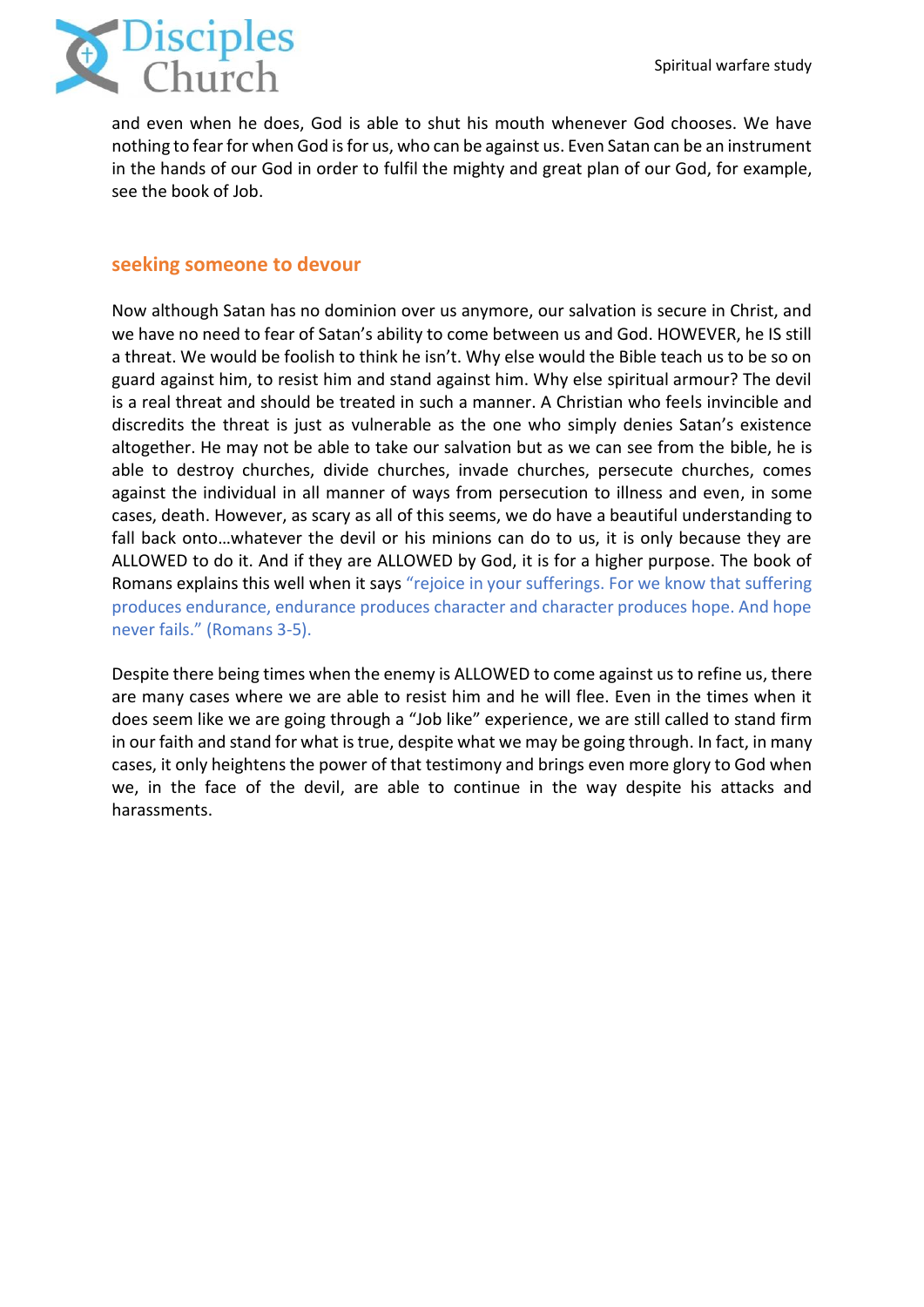

and even when he does, God is able to shut his mouth whenever God chooses. We have nothing to fear for when God is for us, who can be against us. Even Satan can be an instrument in the hands of our God in order to fulfil the mighty and great plan of our God, for example, see the book of Job.

### **seeking someone to devour**

Now although Satan has no dominion over us anymore, our salvation is secure in Christ, and we have no need to fear of Satan's ability to come between us and God. HOWEVER, he IS still a threat. We would be foolish to think he isn't. Why else would the Bible teach us to be so on guard against him, to resist him and stand against him. Why else spiritual armour? The devil is a real threat and should be treated in such a manner. A Christian who feels invincible and discredits the threat is just as vulnerable as the one who simply denies Satan's existence altogether. He may not be able to take our salvation but as we can see from the bible, he is able to destroy churches, divide churches, invade churches, persecute churches, comes against the individual in all manner of ways from persecution to illness and even, in some cases, death. However, as scary as all of this seems, we do have a beautiful understanding to fall back onto…whatever the devil or his minions can do to us, it is only because they are ALLOWED to do it. And if they are ALLOWED by God, it is for a higher purpose. The book of Romans explains this well when it says "rejoice in your sufferings. For we know that suffering produces endurance, endurance produces character and character produces hope. And hope never fails." (Romans 3-5).

Despite there being times when the enemy is ALLOWED to come against us to refine us, there are many cases where we are able to resist him and he will flee. Even in the times when it does seem like we are going through a "Job like" experience, we are still called to stand firm in our faith and stand for what is true, despite what we may be going through. In fact, in many cases, it only heightens the power of that testimony and brings even more glory to God when we, in the face of the devil, are able to continue in the way despite his attacks and harassments.